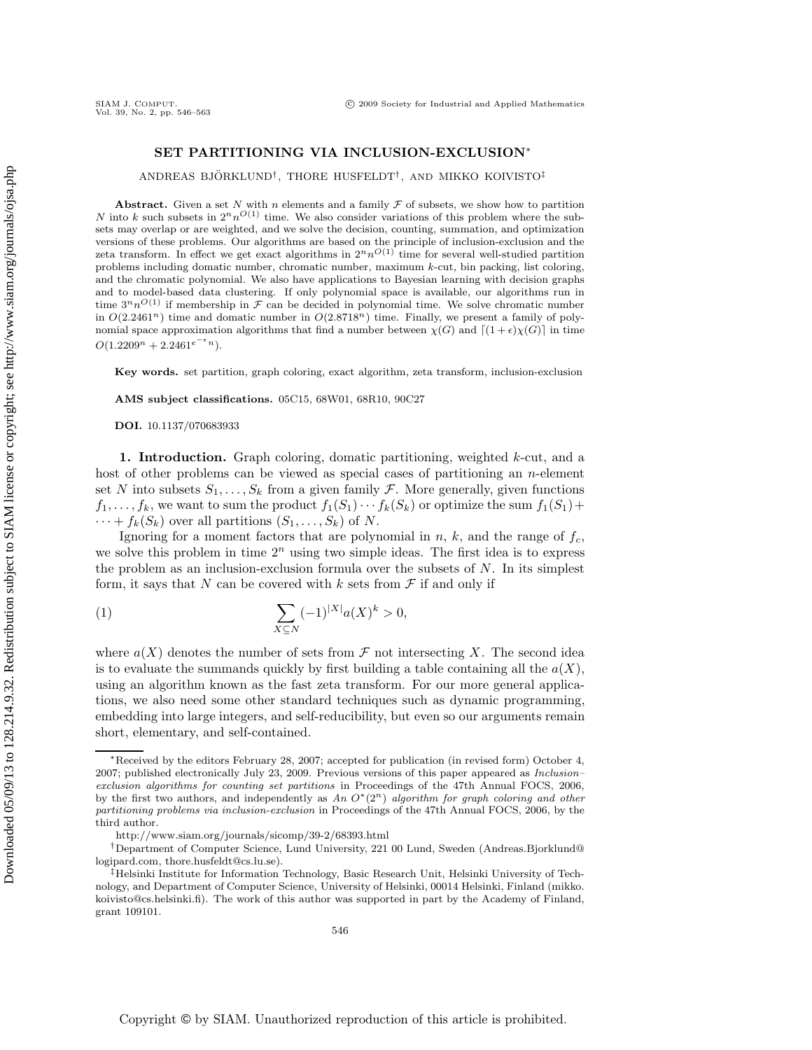# **SET PARTITIONING VIA INCLUSION-EXCLUSION**<sup>∗</sup>

ANDREAS BJÖRKLUND<sup>†</sup>, THORE HUSFELDT<sup>†</sup>, AND MIKKO KOIVISTO<sup>‡</sup>

**Abstract.** Given a set N with n elements and a family  $\mathcal F$  of subsets, we show how to partition N into k such subsets in  $2^n n^{\mathcal{O}(1)}$  time. We also consider variations of this problem where the subsets may overlap or are weighted, and we solve the decision, counting, summation, and optimization versions of these problems. Our algorithms are based on the principle of inclusion-exclusion and the zeta transform. In effect we get exact algorithms in  $2^n n^{O(1)}$  time for several well-studied partition problems including domatic number, chromatic number, maximum k-cut, bin packing, list coloring, and the chromatic polynomial. We also have applications to Bayesian learning with decision graphs and to model-based data clustering. If only polynomial space is available, our algorithms run in time  $3^n n^{O(1)}$  if membership in  $\mathcal F$  can be decided in polynomial time. We solve chromatic number in  $O(2.2461<sup>n</sup>)$  time and domatic number in  $O(2.8718<sup>n</sup>)$  time. Finally, we present a family of polynomial space approximation algorithms that find a number between  $\chi(G)$  and  $\lceil (1 + \epsilon)\chi(G) \rceil$  in time  $O(1.2209^n + 2.2461^{e^{-\epsilon}n}).$ 

**Key words.** set partition, graph coloring, exact algorithm, zeta transform, inclusion-exclusion

**AMS subject classifications.** 05C15, 68W01, 68R10, 90C27

**DOI.** 10.1137/070683933

**1. Introduction.** Graph coloring, domatic partitioning, weighted k-cut, and a host of other problems can be viewed as special cases of partitioning an  $n$ -element set N into subsets  $S_1, \ldots, S_k$  from a given family F. More generally, given functions  $f_1,\ldots,f_k$ , we want to sum the product  $f_1(S_1)\cdots f_k(S_k)$  or optimize the sum  $f_1(S_1)+$  $\cdots + f_k(S_k)$  over all partitions  $(S_1, \ldots, S_k)$  of N.

Ignoring for a moment factors that are polynomial in  $n$ ,  $k$ , and the range of  $f_c$ , we solve this problem in time  $2<sup>n</sup>$  using two simple ideas. The first idea is to express the problem as an inclusion-exclusion formula over the subsets of  $N$ . In its simplest form, it says that N can be covered with k sets from  $\mathcal F$  if and only if

(1) 
$$
\sum_{X \subseteq N} (-1)^{|X|} a(X)^k > 0,
$$

where  $a(X)$  denotes the number of sets from  $\mathcal F$  not intersecting X. The second idea is to evaluate the summands quickly by first building a table containing all the  $a(X)$ , using an algorithm known as the fast zeta transform. For our more general applications, we also need some other standard techniques such as dynamic programming, embedding into large integers, and self-reducibility, but even so our arguments remain short, elementary, and self-contained.

<sup>∗</sup>Received by the editors February 28, 2007; accepted for publication (in revised form) October 4, 2007; published electronically July 23, 2009. Previous versions of this paper appeared as Inclusion– exclusion algorithms for counting set partitions in Proceedings of the 47th Annual FOCS, 2006, by the first two authors, and independently as An O∗(2*n*) algorithm for graph coloring and other partitioning problems via inclusion-exclusion in Proceedings of the 47th Annual FOCS, 2006, by the third author.

http://www.siam.org/journals/sicomp/39-2/68393.html

<sup>†</sup>Department of Computer Science, Lund University, 221 00 Lund, Sweden (Andreas.Bjorklund@ logipard.com, thore.husfeldt@cs.lu.se).

<sup>‡</sup>Helsinki Institute for Information Technology, Basic Research Unit, Helsinki University of Technology, and Department of Computer Science, University of Helsinki, 00014 Helsinki, Finland (mikko. koivisto@cs.helsinki.fi). The work of this author was supported in part by the Academy of Finland, grant 109101.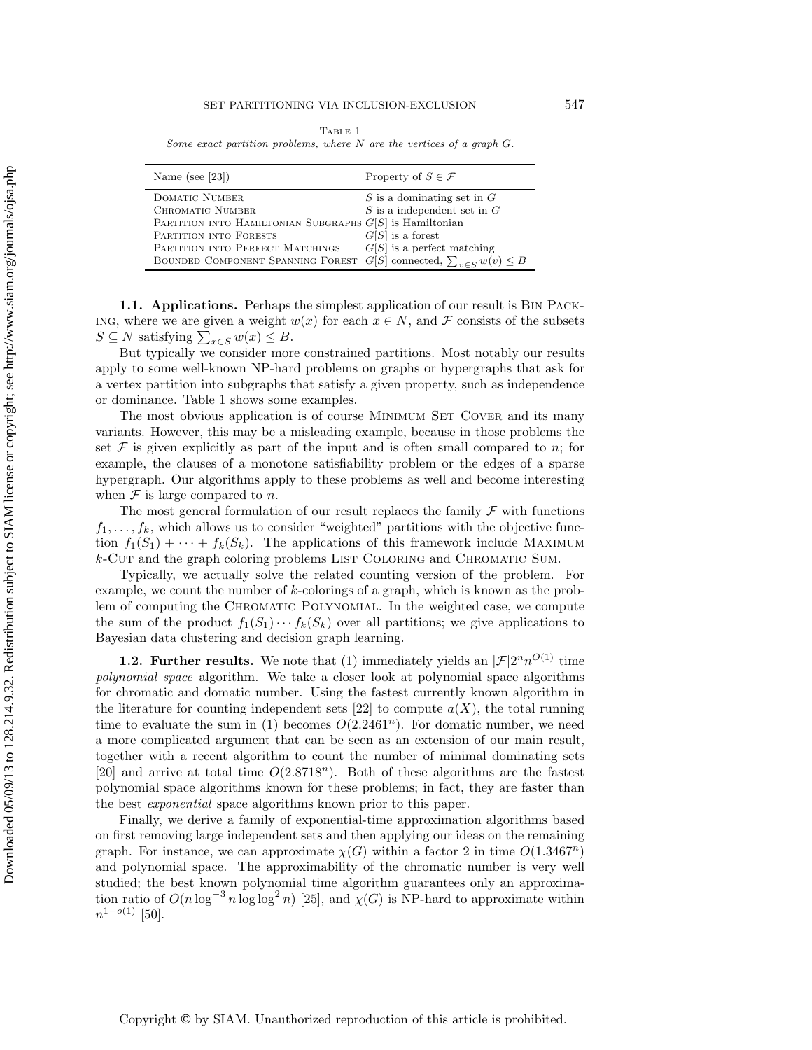Table 1

Some exact partition problems, where  $N$  are the vertices of a graph  $G$ .

| Name (see [23])                                                                  | Property of $S \in \mathcal{F}$ |
|----------------------------------------------------------------------------------|---------------------------------|
| DOMATIC NUMBER                                                                   | $S$ is a dominating set in $G$  |
| CHROMATIC NUMBER                                                                 | $S$ is a independent set in $G$ |
| PARTITION INTO HAMILTONIAN SUBGRAPHS $G[S]$ is Hamiltonian                       |                                 |
| PARTITION INTO FORESTS                                                           | $G[S]$ is a forest              |
| PARTITION INTO PERFECT MATCHINGS                                                 | $G[S]$ is a perfect matching    |
| BOUNDED COMPONENT SPANNING FOREST $G[S]$ connected, $\sum_{v \in S} w(v) \leq B$ |                                 |

**1.1. Applications.** Perhaps the simplest application of our result is Bin Pack-ING, where we are given a weight  $w(x)$  for each  $x \in N$ , and F consists of the subsets  $S \subseteq N$  satisfying  $\sum_{x \in S} w(x) \leq B$ .

But typically we consider more constrained partitions. Most notably our results apply to some well-known NP-hard problems on graphs or hypergraphs that ask for a vertex partition into subgraphs that satisfy a given property, such as independence or dominance. Table 1 shows some examples.

The most obvious application is of course MINIMUM SET COVER and its many variants. However, this may be a misleading example, because in those problems the set  $\mathcal F$  is given explicitly as part of the input and is often small compared to n; for example, the clauses of a monotone satisfiability problem or the edges of a sparse hypergraph. Our algorithms apply to these problems as well and become interesting when  $\mathcal F$  is large compared to n.

The most general formulation of our result replaces the family  $\mathcal F$  with functions  $f_1, \ldots, f_k$ , which allows us to consider "weighted" partitions with the objective function  $f_1(S_1) + \cdots + f_k(S_k)$ . The applications of this framework include MAXIMUM  $k$ -Cut and the graph coloring problems LIST COLORING and CHROMATIC SUM.

Typically, we actually solve the related counting version of the problem. For example, we count the number of k-colorings of a graph, which is known as the problem of computing the Chromatic Polynomial. In the weighted case, we compute the sum of the product  $f_1(S_1)\cdots f_k(S_k)$  over all partitions; we give applications to Bayesian data clustering and decision graph learning.

**1.2. Further results.** We note that (1) immediately yields an  $|\mathcal{F}|2^n n^{O(1)}$  time *polynomial space* algorithm. We take a closer look at polynomial space algorithms for chromatic and domatic number. Using the fastest currently known algorithm in the literature for counting independent sets [22] to compute  $a(X)$ , the total running time to evaluate the sum in (1) becomes  $O(2.2461<sup>n</sup>)$ . For domatic number, we need a more complicated argument that can be seen as an extension of our main result, together with a recent algorithm to count the number of minimal dominating sets [20] and arrive at total time  $O(2.8718^n)$ . Both of these algorithms are the fastest polynomial space algorithms known for these problems; in fact, they are faster than the best *exponential* space algorithms known prior to this paper.

Finally, we derive a family of exponential-time approximation algorithms based on first removing large independent sets and then applying our ideas on the remaining graph. For instance, we can approximate  $\chi(G)$  within a factor 2 in time  $O(1.3467^n)$ and polynomial space. The approximability of the chromatic number is very well studied; the best known polynomial time algorithm guarantees only an approximation ratio of  $O(n \log^{-3} n \log \log^2 n)$  [25], and  $\chi(G)$  is NP-hard to approximate within  $n^{1-o(1)}$  [50].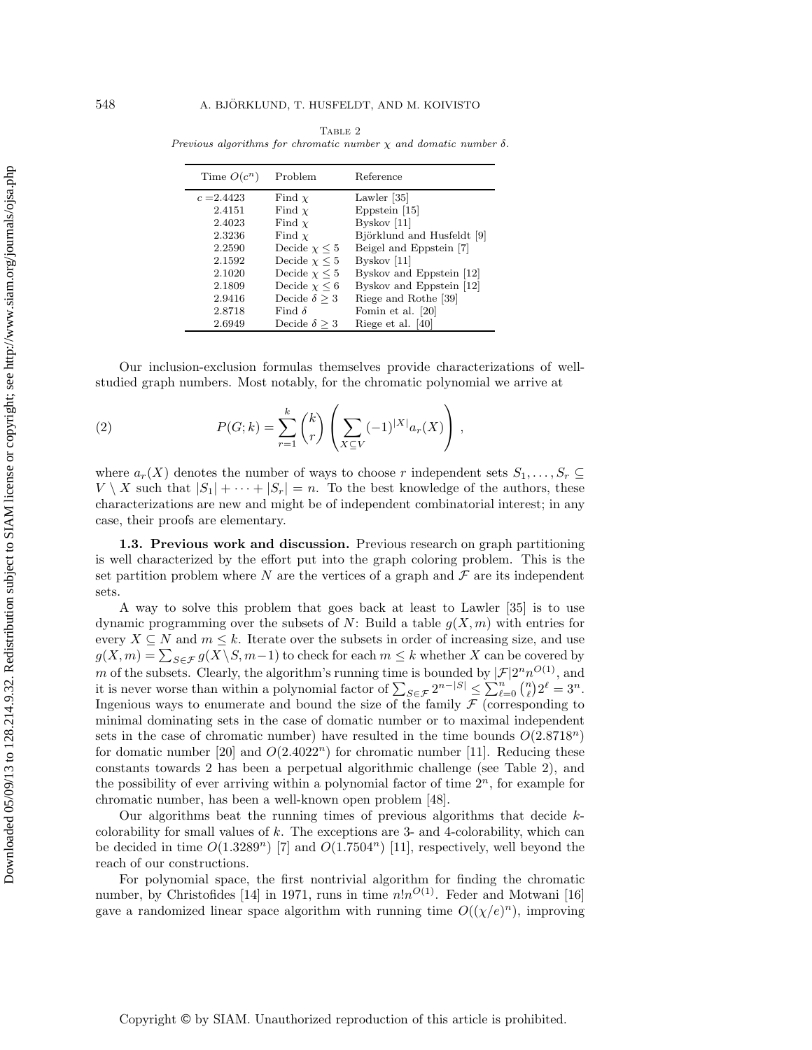| Time $O(c^n)$ | Problem                | Reference                  |
|---------------|------------------------|----------------------------|
| $c = 2.4423$  | Find $\chi$            | Lawler $ 35 $              |
| 2.4151        | Find $\chi$            | Eppstein [15]              |
| 2.4023        | Find $\chi$            | Byskov $[11]$              |
| 2.3236        | Find $\chi$            | Björklund and Husfeldt [9] |
| 2.2590        | Decide $\chi \leq 5$   | Beigel and Eppstein [7]    |
| 2.1592        | Decide $\chi \leq 5$   | Byskov $[11]$              |
| 2.1020        | Decide $\chi \leq 5$   | Byskov and Eppstein [12]   |
| 2.1809        | Decide $\chi \leq 6$   | Byskov and Eppstein [12]   |
| 2.9416        | Decide $\delta \geq 3$ | Riege and Rothe [39]       |
| 2.8718        | Find $\delta$          | Fomin et al. [20]          |
| 2.6949        | Decide $\delta \geq 3$ | Riege et al. [40]          |

Table 2 Previous algorithms for chromatic number  $\chi$  and domatic number  $\delta$ .

Our inclusion-exclusion formulas themselves provide characterizations of wellstudied graph numbers. Most notably, for the chromatic polynomial we arrive at

(2) 
$$
P(G;k) = \sum_{r=1}^{k} {k \choose r} \left( \sum_{X \subseteq V} (-1)^{|X|} a_r(X) \right),
$$

where  $a_r(X)$  denotes the number of ways to choose r independent sets  $S_1,\ldots,S_r \subseteq$  $V \setminus X$  such that  $|S_1| + \cdots + |S_r| = n$ . To the best knowledge of the authors, these characterizations are new and might be of independent combinatorial interest; in any case, their proofs are elementary.

**1.3. Previous work and discussion.** Previous research on graph partitioning is well characterized by the effort put into the graph coloring problem. This is the set partition problem where N are the vertices of a graph and  $\mathcal F$  are its independent sets.

A way to solve this problem that goes back at least to Lawler [35] is to use dynamic programming over the subsets of N: Build a table  $g(X, m)$  with entries for every  $X \subseteq N$  and  $m \leq k$ . Iterate over the subsets in order of increasing size, and use  $g(X,m) = \sum_{S \in \mathcal{F}} g(X \setminus S, m-1)$  to check for each  $m \leq k$  whether X can be covered by m of the subsets. Clearly, the algorithm's running time is bounded by  $|\mathcal{F}|2^n n^{O(1)}$ , and it is never worse than within a polynomial factor of  $\sum_{S \in \mathcal{F}} 2^{n-|S|} \leq \sum_{\ell=0}^n {n \choose \ell} 2^{\ell} = 3^n$ .<br>Inconious ways to enumerate and bound the size of the family  $\mathcal{F}$  (corresponding to Ingenious ways to enumerate and bound the size of the family  $\mathcal F$  (corresponding to minimal dominating sets in the case of domatic number or to maximal independent sets in the case of chromatic number) have resulted in the time bounds  $O(2.8718<sup>n</sup>)$ for domatic number [20] and  $O(2.4022^n)$  for chromatic number [11]. Reducing these constants towards 2 has been a perpetual algorithmic challenge (see Table 2), and the possibility of ever arriving within a polynomial factor of time  $2<sup>n</sup>$ , for example for chromatic number, has been a well-known open problem [48].

Our algorithms beat the running times of previous algorithms that decide kcolorability for small values of  $k$ . The exceptions are 3- and 4-colorability, which can be decided in time  $O(1.3289^n)$  [7] and  $O(1.7504^n)$  [11], respectively, well beyond the reach of our constructions.

For polynomial space, the first nontrivial algorithm for finding the chromatic number, by Christofides [14] in 1971, runs in time  $n!n^{O(1)}$ . Feder and Motwani [16] gave a randomized linear space algorithm with running time  $O((\chi/e)^n)$ , improving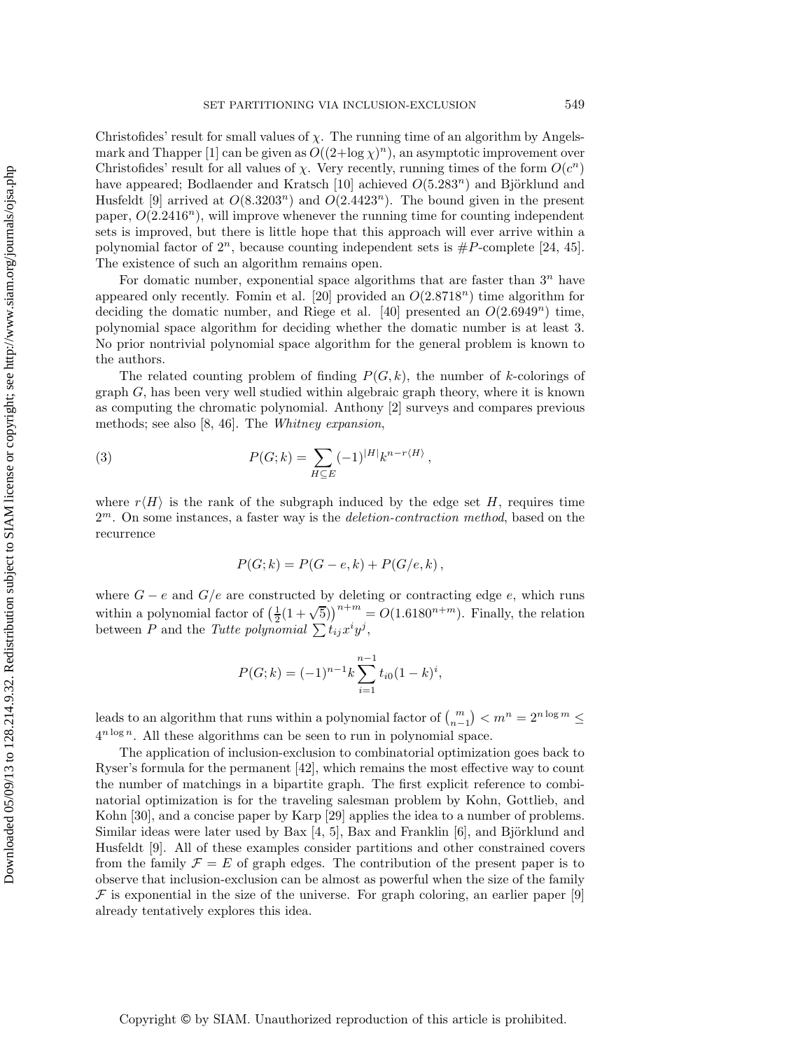Christofides' result for small values of  $\chi$ . The running time of an algorithm by Angelsmark and Thapper [1] can be given as  $O((2 + \log \chi)^n)$ , an asymptotic improvement over Christofides' result for all values of  $\chi$ . Very recently, running times of the form  $O(c^n)$ have appeared; Bodlaender and Kratsch [10] achieved  $O(5.283^n)$  and Björklund and Husfeldt [9] arrived at  $O(8.3203^n)$  and  $O(2.4423^n)$ . The bound given in the present paper,  $O(2.2416^n)$ , will improve whenever the running time for counting independent sets is improved, but there is little hope that this approach will ever arrive within a polynomial factor of  $2^n$ , because counting independent sets is  $#P$ -complete [24, 45]. The existence of such an algorithm remains open.

For domatic number, exponential space algorithms that are faster than  $3^n$  have appeared only recently. Fomin et al. [20] provided an  $O(2.8718^n)$  time algorithm for deciding the domatic number, and Riege et al. [40] presented an  $O(2.6949^n)$  time, polynomial space algorithm for deciding whether the domatic number is at least 3. No prior nontrivial polynomial space algorithm for the general problem is known to the authors.

The related counting problem of finding  $P(G, k)$ , the number of k-colorings of  $graph G$ , has been very well studied within algebraic graph theory, where it is known as computing the chromatic polynomial. Anthony [2] surveys and compares previous methods; see also [8, 46]. The *Whitney expansion*,

(3) 
$$
P(G;k) = \sum_{H \subseteq E} (-1)^{|H|} k^{n-r\langle H \rangle},
$$

where  $r\langle H \rangle$  is the rank of the subgraph induced by the edge set H, requires time 2<sup>m</sup>. On some instances, a faster way is the *deletion-contraction method*, based on the recurrence

$$
P(G;k) = P(G-e,k) + P(G/e,k),
$$

where  $G - e$  and  $G/e$  are constructed by deleting or contracting edge e, which runs where  $G - c$  and  $G/c$  are constructed by detering or contracting edge c, which runs<br>within a polynomial factor of  $\left(\frac{1}{2}(1+\sqrt{5})\right)^{n+m} = O(1.6180^{n+m})$ . Finally, the relation<br>between P and the Tutte nolunomial  $\sum t_{i}x^{i}u$ between P and the *Tutte polynomial*  $\sum t_{ij} x^i y^j$ ,

$$
P(G; k) = (-1)^{n-1} k \sum_{i=1}^{n-1} t_{i0} (1-k)^i,
$$

leads to an algorithm that runs within a polynomial factor of  $\binom{m}{n-1} < m^n = 2^{n \log m} \le$  $4^{n \log n}$ . All these algorithms can be seen to run in polynomial space.

The application of inclusion-exclusion to combinatorial optimization goes back to Ryser's formula for the permanent [42], which remains the most effective way to count the number of matchings in a bipartite graph. The first explicit reference to combinatorial optimization is for the traveling salesman problem by Kohn, Gottlieb, and Kohn [30], and a concise paper by Karp [29] applies the idea to a number of problems. Similar ideas were later used by Bax  $[4, 5]$ , Bax and Franklin  $[6]$ , and Björklund and Husfeldt [9]. All of these examples consider partitions and other constrained covers from the family  $\mathcal{F} = E$  of graph edges. The contribution of the present paper is to observe that inclusion-exclusion can be almost as powerful when the size of the family  $\mathcal F$  is exponential in the size of the universe. For graph coloring, an earlier paper [9] already tentatively explores this idea.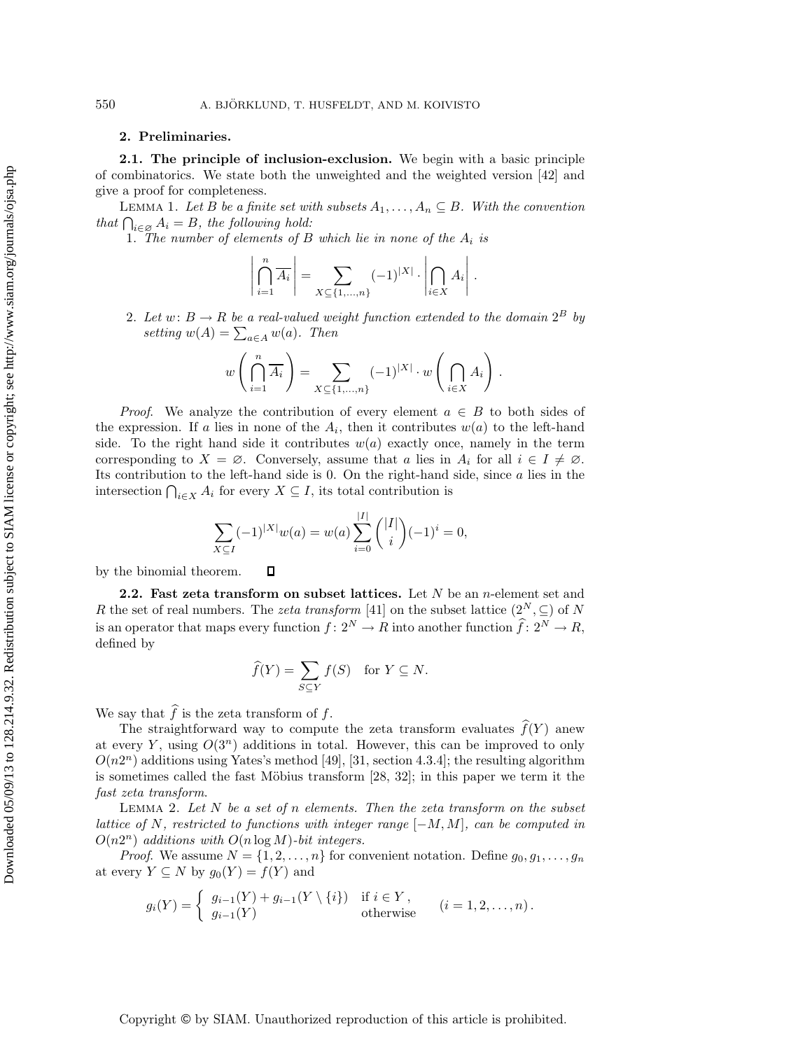## **2. Preliminaries.**

**2.1. The principle of inclusion-exclusion.** We begin with a basic principle of combinatorics. We state both the unweighted and the weighted version [42] and give a proof for completeness.

LEMMA 1. Let B be a finite set with subsets  $A_1, \ldots, A_n \subseteq B$ . With the convention  $that \bigcap_{i \in \mathcal{D}} A_i = B$ , the following hold:

1. *The number of elements of* B *which lie in none of the* A<sup>i</sup> *is*

$$
\left|\bigcap_{i=1}^n \overline{A_i}\right| = \sum_{X \subseteq \{1,\dots,n\}} (-1)^{|X|} \cdot \left|\bigcap_{i \in X} A_i\right|.
$$

2. Let  $w: B \to R$  be a real-valued weight function extended to the domain  $2^B$  by setting  $w(A) = \sum_{a \in A} w(a)$ . Then

$$
w\left(\bigcap_{i=1}^n \overline{A_i}\right) = \sum_{X \subseteq \{1,\dots,n\}} (-1)^{|X|} \cdot w\left(\bigcap_{i \in X} A_i\right).
$$

*Proof.* We analyze the contribution of every element  $a \in B$  to both sides of the expression. If a lies in none of the  $A_i$ , then it contributes  $w(a)$  to the left-hand side. To the right hand side it contributes  $w(a)$  exactly once, namely in the term corresponding to  $X = \emptyset$ . Conversely, assume that a lies in  $A_i$  for all  $i \in I \neq \emptyset$ . Its contribution to the left-hand side is 0. On the right-hand side, since a lies in the intersection  $\bigcap_{i\in X} A_i$  for every  $X \subseteq I$ , its total contribution is

$$
\sum_{X \subseteq I} (-1)^{|X|} w(a) = w(a) \sum_{i=0}^{|I|} \binom{|I|}{i} (-1)^i = 0,
$$

by the binomial theorem.  $\Box$ 

**2.2. Fast zeta transform on subset lattices.** Let N be an n-element set and R the set of real numbers. The *zeta transform* [41] on the subset lattice  $(2^N, \subseteq)$  of N is an operator that maps every function  $f: 2^N \to R$  into another function  $\widehat{f}: 2^N \to R$ , defined by

$$
\widehat{f}(Y) = \sum_{S \subseteq Y} f(S) \quad \text{for } Y \subseteq N.
$$

We say that  $f$  is the zeta transform of  $f$ .

The straightforward way to compute the zeta transform evaluates  $f(Y)$  anew at every Y, using  $O(3^n)$  additions in total. However, this can be improved to only  $O(n2<sup>n</sup>)$  additions using Yates's method [49], [31, section 4.3.4]; the resulting algorithm is sometimes called the fast Möbius transform  $[28, 32]$ ; in this paper we term it the *fast zeta transform*.

Lemma 2. *Let* N *be a set of* n *elements. Then the zeta transform on the subset lattice of* N*, restricted to functions with integer range* [−M,M]*, can be computed in*  $O(n2^n)$  *additions with*  $O(n \log M)$ -bit integers.

*Proof.* We assume  $N = \{1, 2, ..., n\}$  for convenient notation. Define  $g_0, g_1, ..., g_n$ at every  $Y \subseteq N$  by  $g_0(Y) = f(Y)$  and

$$
g_i(Y) = \begin{cases} g_{i-1}(Y) + g_{i-1}(Y \setminus \{i\}) & \text{if } i \in Y, \\ g_{i-1}(Y) & \text{otherwise} \end{cases} \quad (i = 1, 2, \dots, n).
$$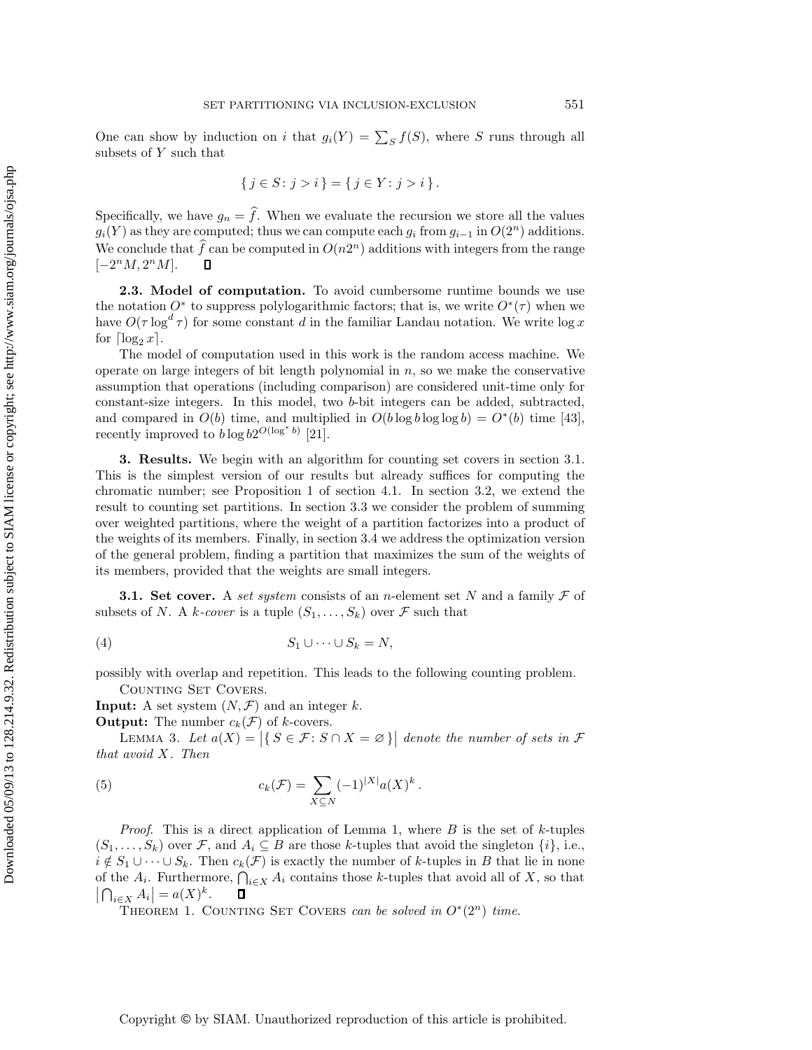One can show by induction on i that  $g_i(Y) = \sum_S f(S)$ , where S runs through all subsets of Y such that

$$
\{j \in S : j > i\} = \{j \in Y : j > i\}.
$$

Specifically, we have  $g_n = f$ . When we evaluate the recursion we store all the values  $g_i(Y)$  as they are computed; thus we can compute each  $g_i$  from  $g_{i-1}$  in  $O(2^n)$  additions. We conclude that  $\hat{f}$  can be computed in  $O(n2^n)$  additions with integers from the range  $[-2^nM, 2^nM].$ 

**2.3. Model of computation.** To avoid cumbersome runtime bounds we use the notation  $O^*$  to suppress polylogarithmic factors; that is, we write  $O^*(\tau)$  when we have  $O(\tau \log^d \tau)$  for some constant d in the familiar Landau notation. We write  $\log x$ for  $\lceil \log_2 x \rceil$ .

The model of computation used in this work is the random access machine. We operate on large integers of bit length polynomial in  $n$ , so we make the conservative assumption that operations (including comparison) are considered unit-time only for constant-size integers. In this model, two b-bit integers can be added, subtracted, and compared in  $O(b)$  time, and multiplied in  $O(b \log b \log \log b) = O^*(b)$  time [43], recently improved to  $b \log b2^{O(\log^* b)}$  [21].

**3. Results.** We begin with an algorithm for counting set covers in section 3.1. This is the simplest version of our results but already suffices for computing the chromatic number; see Proposition 1 of section 4.1. In section 3.2, we extend the result to counting set partitions. In section 3.3 we consider the problem of summing over weighted partitions, where the weight of a partition factorizes into a product of the weights of its members. Finally, in section 3.4 we address the optimization version of the general problem, finding a partition that maximizes the sum of the weights of its members, provided that the weights are small integers.

**3.1. Set cover.** A *set system* consists of an *n*-element set N and a family  $\mathcal F$  of subsets of N. A *k*-cover is a tuple  $(S_1, \ldots, S_k)$  over F such that

$$
(4) \t S_1 \cup \cdots \cup S_k = N,
$$

possibly with overlap and repetition. This leads to the following counting problem.

COUNTING SET COVERS.

**Input:** A set system  $(N, \mathcal{F})$  and an integer k.

**Output:** The number  $c_k(\mathcal{F})$  of k-covers.

LEMMA 3. Let  $a(X) = |\{ S \in \mathcal{F} : S \cap X = \emptyset \}|$  denote the number of sets in  $\mathcal{F}$ *that avoid* X*. Then*

(5) 
$$
c_k(\mathcal{F}) = \sum_{X \subseteq N} (-1)^{|X|} a(X)^k.
$$

*Proof*. This is a direct application of Lemma 1, where B is the set of k-tuples  $(S_1, \ldots, S_k)$  over F, and  $A_i \subseteq B$  are those k-tuples that avoid the singleton  $\{i\}$ , i.e.,  $i \notin S_1 \cup \cdots \cup S_k$ . Then  $c_k(\mathcal{F})$  is exactly the number of k-tuples in B that lie in none of the  $A_i$ . Furthermore,  $\bigcap_{i\in X} A_i$  contains those k-tuples that avoid all of X, so that  $\left| \bigcap_{i\in X} A_i \right| = a(X)^k.$  $\Box$ 

THEOREM 1. COUNTING SET COVERS *can be solved in*  $O^*(2^n)$  *time.*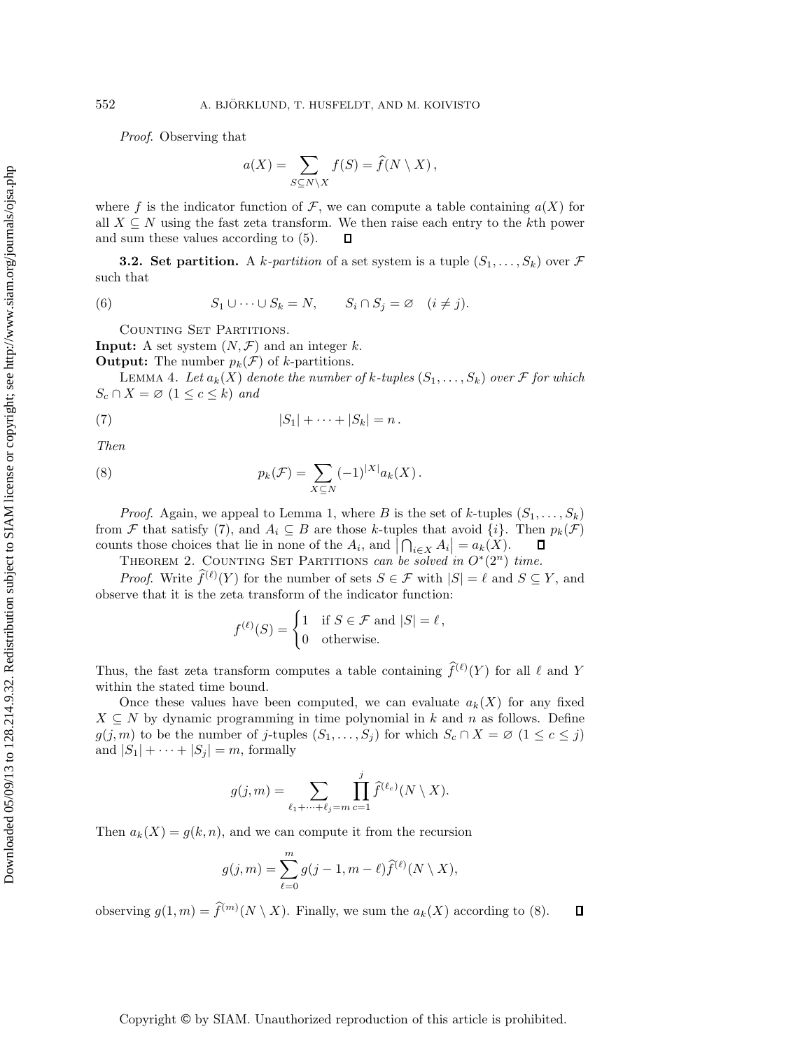*Proof*. Observing that

$$
a(X) = \sum_{S \subseteq N \setminus X} f(S) = \hat{f}(N \setminus X),
$$

where f is the indicator function of F, we can compute a table containing  $a(X)$  for all  $X \subseteq N$  using the fast zeta transform. We then raise each entry to the kth power and sum these values according to (5). 口

**3.2. Set partition.** A k-partition of a set system is a tuple  $(S_1, \ldots, S_k)$  over  $\mathcal F$ such that

(6) 
$$
S_1 \cup \cdots \cup S_k = N, \qquad S_i \cap S_j = \varnothing \quad (i \neq j).
$$

COUNTING SET PARTITIONS.

**Input:** A set system  $(N, \mathcal{F})$  and an integer k.

**Output:** The number  $p_k(\mathcal{F})$  of k-partitions.

LEMMA 4. Let  $a_k(X)$  denote the number of k-tuples  $(S_1, \ldots, S_k)$  over F for which  $S_c \cap X = \emptyset \ (1 \leq c \leq k) \ and$ 

$$
|S_1|+\cdots+|S_k|=n.
$$

*Then*

(8) 
$$
p_k(\mathcal{F}) = \sum_{X \subseteq N} (-1)^{|X|} a_k(X).
$$

*Proof.* Again, we appeal to Lemma 1, where B is the set of k-tuples  $(S_1, \ldots, S_k)$ from F that satisfy (7), and  $A_i \subseteq B$  are those k-tuples that avoid  $\{i\}$ . Then  $p_k(\mathcal{F})$ counts those choices that lie in none of the  $A_i$ , and  $\left| \bigcap_{i \in X} A_i \right| = a_k(X)$ .  $\Box$ 

THEOREM 2. COUNTING SET PARTITIONS *can be solved in*  $O<sup>*</sup>(2<sup>n</sup>)$  *time.* 

*Proof.* Write  $\hat{f}^{(\ell)}(Y)$  for the number of sets  $S \in \mathcal{F}$  with  $|S| = \ell$  and  $S \subseteq Y$ , and observe that it is the zeta transform of the indicator function:

$$
f^{(\ell)}(S) = \begin{cases} 1 & \text{if } S \in \mathcal{F} \text{ and } |S| = \ell, \\ 0 & \text{otherwise.} \end{cases}
$$

Thus, the fast zeta transform computes a table containing  $\hat{f}^{(\ell)}(Y)$  for all  $\ell$  and Y within the stated time bound.

Once these values have been computed, we can evaluate  $a_k(X)$  for any fixed  $X \subseteq N$  by dynamic programming in time polynomial in k and n as follows. Define  $g(j, m)$  to be the number of j-tuples  $(S_1, \ldots, S_j)$  for which  $S_c \cap X = \emptyset$   $(1 \leq c \leq j)$ and  $|S_1| + \cdots + |S_j| = m$ , formally

$$
g(j,m) = \sum_{\ell_1 + \dots + \ell_j = m} \prod_{c=1}^j \widehat{f}^{(\ell_c)}(N \setminus X).
$$

Then  $a_k(X) = g(k, n)$ , and we can compute it from the recursion

$$
g(j,m) = \sum_{\ell=0}^{m} g(j-1,m-\ell) \widehat{f}^{(\ell)}(N \setminus X),
$$

observing  $g(1, m) = \hat{f}^{(m)}(N \setminus X)$ . Finally, we sum the  $a_k(X)$  according to (8).  $\Box$ 

## Copyright © by SIAM. Unauthorized reproduction of this article is prohibited.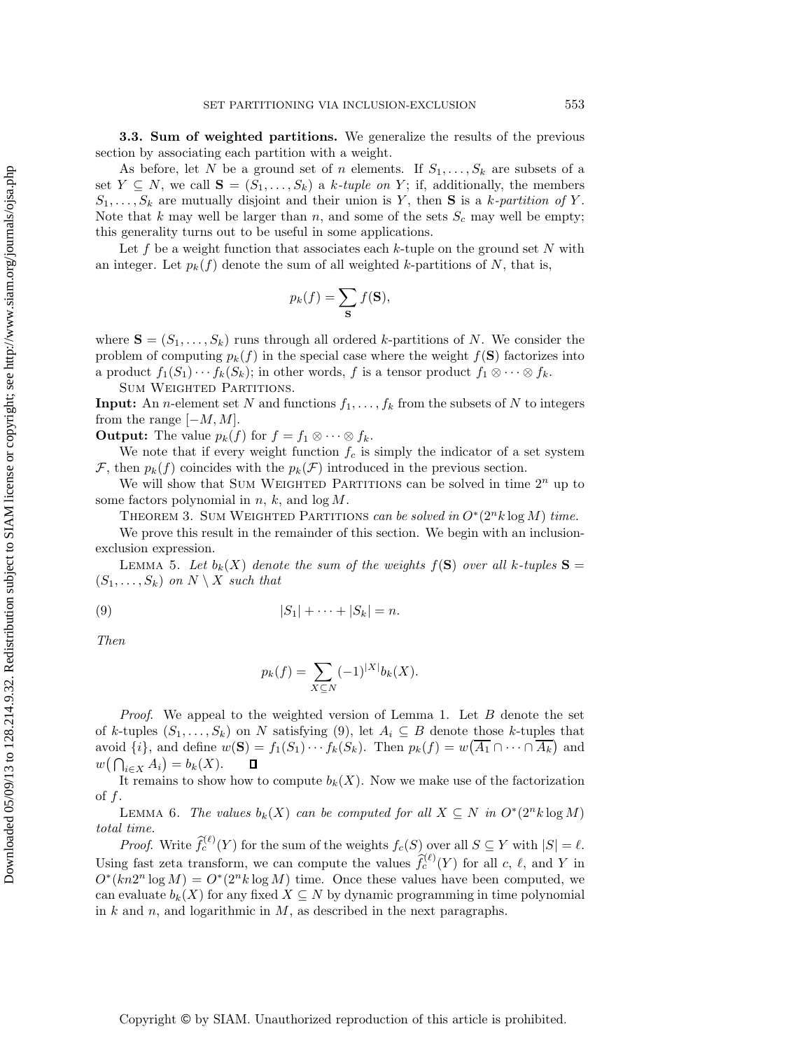**3.3. Sum of weighted partitions.** We generalize the results of the previous section by associating each partition with a weight.

As before, let N be a ground set of n elements. If  $S_1, \ldots, S_k$  are subsets of a set  $Y \subseteq N$ , we call  $\mathbf{S} = (S_1, \ldots, S_k)$  a k-tuple on Y; if, additionally, the members  $S_1,\ldots,S_k$  are mutually disjoint and their union is Y, then **S** is a k-partition of Y. Note that k may well be larger than n, and some of the sets  $S_c$  may well be empty; this generality turns out to be useful in some applications.

Let f be a weight function that associates each  $k$ -tuple on the ground set N with an integer. Let  $p_k(f)$  denote the sum of all weighted k-partitions of N, that is,

$$
p_k(f) = \sum_{\mathbf{S}} f(\mathbf{S}),
$$

where  $S = (S_1, \ldots, S_k)$  runs through all ordered k-partitions of N. We consider the problem of computing  $p_k(f)$  in the special case where the weight  $f(\mathbf{S})$  factorizes into a product  $f_1(S_1)\cdots f_k(S_k)$ ; in other words, f is a tensor product  $f_1\otimes\cdots\otimes f_k$ .

Sum Weighted Partitions.

**Input:** An *n*-element set N and functions  $f_1, \ldots, f_k$  from the subsets of N to integers from the range  $[-M, M]$ .

**Output:** The value  $p_k(f)$  for  $f = f_1 \otimes \cdots \otimes f_k$ .

We note that if every weight function  $f_c$  is simply the indicator of a set system F, then  $p_k(f)$  coincides with the  $p_k(\mathcal{F})$  introduced in the previous section.

We will show that SUM WEIGHTED PARTITIONS can be solved in time  $2^n$  up to some factors polynomial in  $n, k$ , and  $log M$ .

THEOREM 3. SUM WEIGHTED PARTITIONS *can be solved in*  $O<sup>*</sup>(2<sup>n</sup>k \log M)$  *time.* 

We prove this result in the remainder of this section. We begin with an inclusionexclusion expression.

LEMMA 5. Let  $b_k(X)$  denote the sum of the weights  $f(S)$  over all k-tuples  $S =$  $(S_1, \ldots, S_k)$  *on*  $N \setminus X$  *such that* 

$$
|S_1|+\cdots+|S_k|=n.
$$

*Then*

$$
p_k(f) = \sum_{X \subseteq N} (-1)^{|X|} b_k(X).
$$

*Proof*. We appeal to the weighted version of Lemma 1. Let B denote the set of k-tuples  $(S_1, \ldots, S_k)$  on N satisfying (9), let  $A_i \subseteq B$  denote those k-tuples that avoid  $\{i\}$ , and define  $w(\mathbf{S}) = f_1(S_1) \cdots f_k(S_k)$ . Then  $p_k(f) = w(\overline{A_1} \cap \cdots \cap \overline{A_k})$  and  $w(\bigcap_{i\in X} A_i) = b_k(X).$ 

It remains to show how to compute  $b_k(X)$ . Now we make use of the factorization of  $f$ .

LEMMA 6. *The values*  $b_k(X)$  *can be computed for all*  $X \subseteq N$  *in*  $O^*(2^n k \log M)$ *total time.*

*Proof.* Write  $\hat{f}_c^{(\ell)}(Y)$  for the sum of the weights  $f_c(S)$  over all  $S \subseteq Y$  with  $|S| = \ell$ . Using fast zeta transform, we can compute the values  $\hat{f}_c^{(\ell)}(Y)$  for all c,  $\ell$ , and Y in  $O<sup>*</sup>(kn2<sup>n</sup> log M) = O<sup>*</sup>(2<sup>n</sup>k log M)$  time. Once these values have been computed, we can evaluate  $b_k(X)$  for any fixed  $X \subseteq N$  by dynamic programming in time polynomial in  $k$  and  $n$ , and logarithmic in  $M$ , as described in the next paragraphs.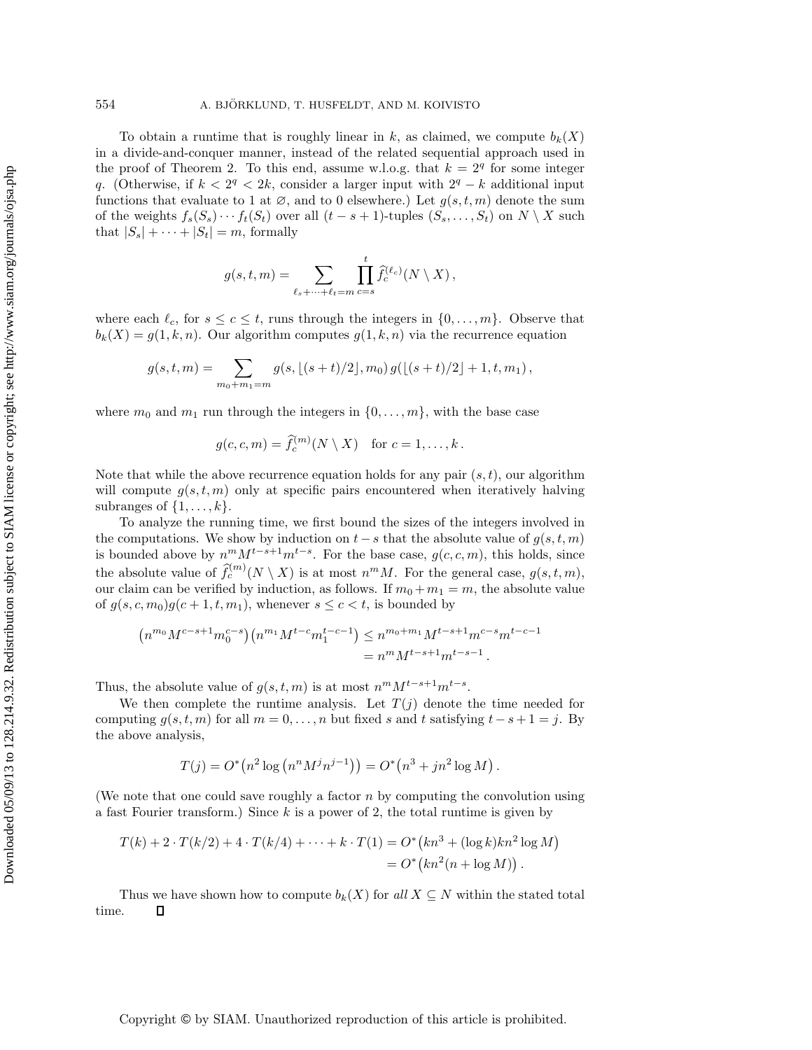To obtain a runtime that is roughly linear in k, as claimed, we compute  $b_k(X)$ in a divide-and-conquer manner, instead of the related sequential approach used in the proof of Theorem 2. To this end, assume w.l.o.g. that  $k = 2<sup>q</sup>$  for some integer q. (Otherwise, if  $k < 2<sup>q</sup> < 2k$ , consider a larger input with  $2<sup>q</sup> - k$  additional input functions that evaluate to 1 at  $\emptyset$ , and to 0 elsewhere.) Let  $g(s, t, m)$  denote the sum of the weights  $f_s(S_s)\cdots f_t(S_t)$  over all  $(t-s+1)$ -tuples  $(S_s,\ldots,S_t)$  on  $N\setminus X$  such that  $|S_s| + \cdots + |S_t| = m$ , formally

$$
g(s,t,m) = \sum_{\ell_s + \dots + \ell_t = m} \prod_{c=s}^t \widehat{f}_c^{(\ell_c)}(N \setminus X),
$$

where each  $\ell_c$ , for  $s \leq c \leq t$ , runs through the integers in  $\{0, \ldots, m\}$ . Observe that  $b_k(X) = g(1, k, n)$ . Our algorithm computes  $g(1, k, n)$  via the recurrence equation

$$
g(s,t,m) = \sum_{m_0+m_1=m} g(s, \lfloor (s+t)/2 \rfloor, m_0) g(\lfloor (s+t)/2 \rfloor + 1, t, m_1),
$$

where  $m_0$  and  $m_1$  run through the integers in  $\{0,\ldots,m\}$ , with the base case

$$
g(c, c, m) = \hat{f}_c^{(m)}(N \setminus X) \quad \text{for } c = 1, \dots, k.
$$

Note that while the above recurrence equation holds for any pair  $(s, t)$ , our algorithm will compute  $g(s, t, m)$  only at specific pairs encountered when iteratively halving subranges of  $\{1,\ldots,k\}$ .

To analyze the running time, we first bound the sizes of the integers involved in the computations. We show by induction on  $t - s$  that the absolute value of  $g(s, t, m)$ is bounded above by  $n^m M^{t-s+1} m^{t-s}$ . For the base case,  $g(c, c, m)$ , this holds, since the absolute value of  $\widehat{f}_c^{(m)}(N \setminus X)$  is at most  $n^mM$ . For the general case,  $g(s, t, m)$ , our claim can be verified by induction, as follows. If  $m_0 + m_1 = m$ , the absolute value of  $g(s, c, m_0)g(c+1, t, m_1)$ , whenever  $s \leq c < t$ , is bounded by

$$
(n^{m_0}M^{c-s+1}m_0^{c-s})(n^{m_1}M^{t-c}m_1^{t-c-1}) \le n^{m_0+m_1}M^{t-s+1}m^{c-s}m^{t-c-1}
$$
  
=  $n^mM^{t-s+1}m^{t-s-1}$ .

Thus, the absolute value of  $g(s, t, m)$  is at most  $n^{m}M^{t-s+1}m^{t-s}$ .

We then complete the runtime analysis. Let  $T(j)$  denote the time needed for computing  $g(s, t, m)$  for all  $m = 0, \ldots, n$  but fixed s and t satisfying  $t - s + 1 = j$ . By the above analysis,

$$
T(j) = O^*\left(n^2 \log (n^n M^j n^{j-1})\right) = O^*\left(n^3 + jn^2 \log M\right).
$$

(We note that one could save roughly a factor  $n$  by computing the convolution using a fast Fourier transform.) Since  $k$  is a power of 2, the total runtime is given by

$$
T(k) + 2 \cdot T(k/2) + 4 \cdot T(k/4) + \dots + k \cdot T(1) = O^*(kn^3 + (\log k)kn^2 \log M)
$$
  
=  $O^*(kn^2(n + \log M)).$ 

Thus we have shown how to compute  $b_k(X)$  for all  $X \subseteq N$  within the stated total time.  $\Box$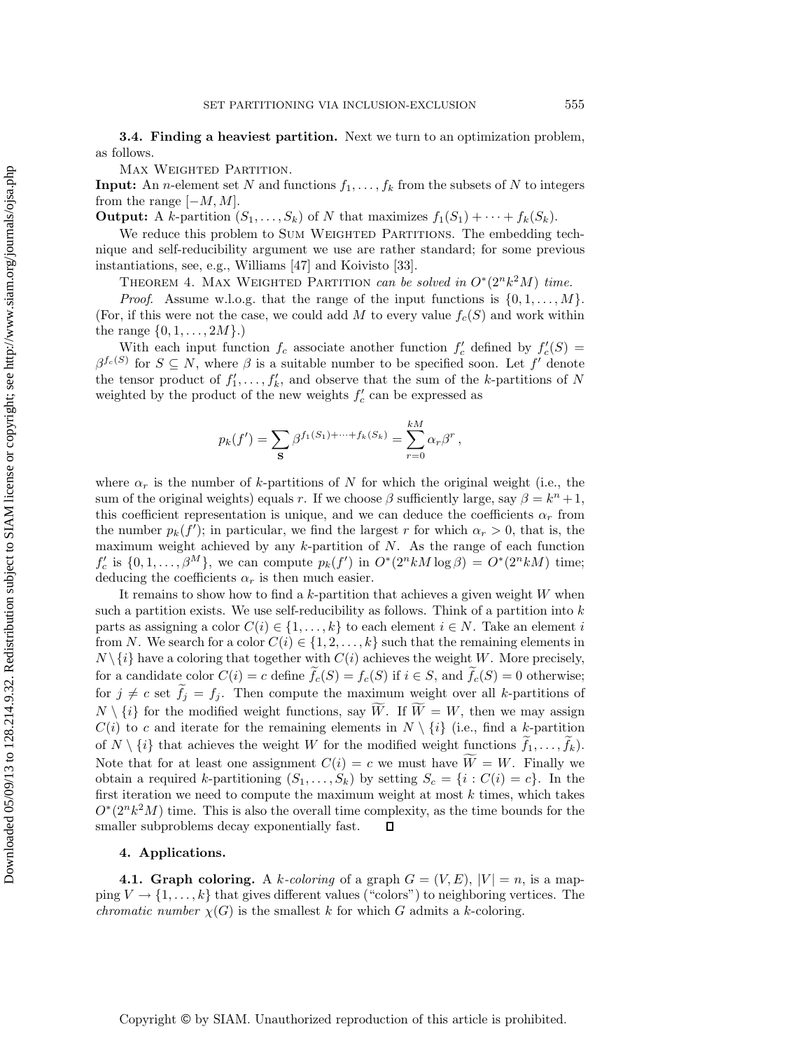**3.4. Finding a heaviest partition.** Next we turn to an optimization problem, as follows.

Max Weighted Partition.

**Input:** An *n*-element set N and functions  $f_1, \ldots, f_k$  from the subsets of N to integers from the range  $[-M, M]$ .

**Output:** A k-partition  $(S_1, \ldots, S_k)$  of N that maximizes  $f_1(S_1) + \cdots + f_k(S_k)$ .

We reduce this problem to SUM WEIGHTED PARTITIONS. The embedding technique and self-reducibility argument we use are rather standard; for some previous instantiations, see, e.g., Williams [47] and Koivisto [33].

THEOREM 4. MAX WEIGHTED PARTITION *can be solved in*  $O^*(2^n k^2 M)$  *time.* 

*Proof.* Assume w.l.o.g. that the range of the input functions is  $\{0, 1, \ldots, M\}$ . (For, if this were not the case, we could add M to every value  $f_c(S)$  and work within the range  $\{0, 1, ..., 2M\}$ .)

With each input function  $f_c$  associate another function  $f'_c$  defined by  $f'_c(S)$  $\beta^{f_c(S)}$  for  $S \subseteq N$ , where  $\beta$  is a suitable number to be specified soon. Let f' denote the tensor product of  $f'_1, \ldots, f'_k$ , and observe that the sum of the k-partitions of N<br>weighted by the product of the new weights  $f'$  can be expressed as weighted by the product of the new weights  $f'_{c}$  can be expressed as

$$
p_k(f') = \sum_{\mathbf{S}} \beta^{f_1(S_1) + \dots + f_k(S_k)} = \sum_{r=0}^{kM} \alpha_r \beta^r,
$$

where  $\alpha_r$  is the number of k-partitions of N for which the original weight (i.e., the sum of the original weights) equals r. If we choose  $\beta$  sufficiently large, say  $\beta = k^{n} + 1$ , this coefficient representation is unique, and we can deduce the coefficients  $\alpha_r$  from the number  $p_k(f')$ ; in particular, we find the largest r for which  $\alpha_r > 0$ , that is, the maximum weight achieved by any  $k$ -partition of  $N$ . As the range of each function  $f'_c$  is  $\{0, 1, ..., \beta^M\}$ , we can compute  $p_k(f')$  in  $O^*(2^n k M \log \beta) = O^*(2^n k M)$  time; deducing the coefficients  $\alpha_r$  is then much easier.

It remains to show how to find a k-partition that achieves a given weight  $W$  when such a partition exists. We use self-reducibility as follows. Think of a partition into  $k$ parts as assigning a color  $C(i) \in \{1, \ldots, k\}$  to each element  $i \in N$ . Take an element i from N. We search for a color  $C(i) \in \{1, 2, ..., k\}$  such that the remaining elements in  $N \setminus \{i\}$  have a coloring that together with  $C(i)$  achieves the weight W. More precisely, for a candidate color  $C(i) = c$  define  $f_c(S) = f_c(S)$  if  $i \in S$ , and  $f_c(S) = 0$  otherwise; for  $j \neq c$  set  $f_j = f_j$ . Then compute the maximum weight over all k-partitions of  $N \setminus \{i\}$  for the modified weight functions, say W. If  $W = W$ , then we may assign  $C(i)$  to c and iterate for the remaining elements in  $N \setminus \{i\}$  (i.e., find a k-partition of  $N \setminus \{i\}$  that achieves the weight W for the modified weight functions  $f_1, \ldots, f_k$ . Note that for at least one assignment  $C(i) = c$  we must have  $W = W$ . Finally we obtain a required k-partitioning  $(S_1,\ldots,S_k)$  by setting  $S_c = \{i : C(i) = c\}$ . In the first iteration we need to compute the maximum weight at most  $k$  times, which takes  $O<sup>*</sup>(2<sup>n</sup>k<sup>2</sup>M)$  time. This is also the overall time complexity, as the time bounds for the smaller subproblems decay exponentially fast.  $\Box$ 

#### **4. Applications.**

**4.1. Graph coloring.** A k-coloring of a graph  $G = (V, E), |V| = n$ , is a mapping  $V \to \{1,\ldots,k\}$  that gives different values ("colors") to neighboring vertices. The *chromatic number*  $\chi(G)$  is the smallest k for which G admits a k-coloring.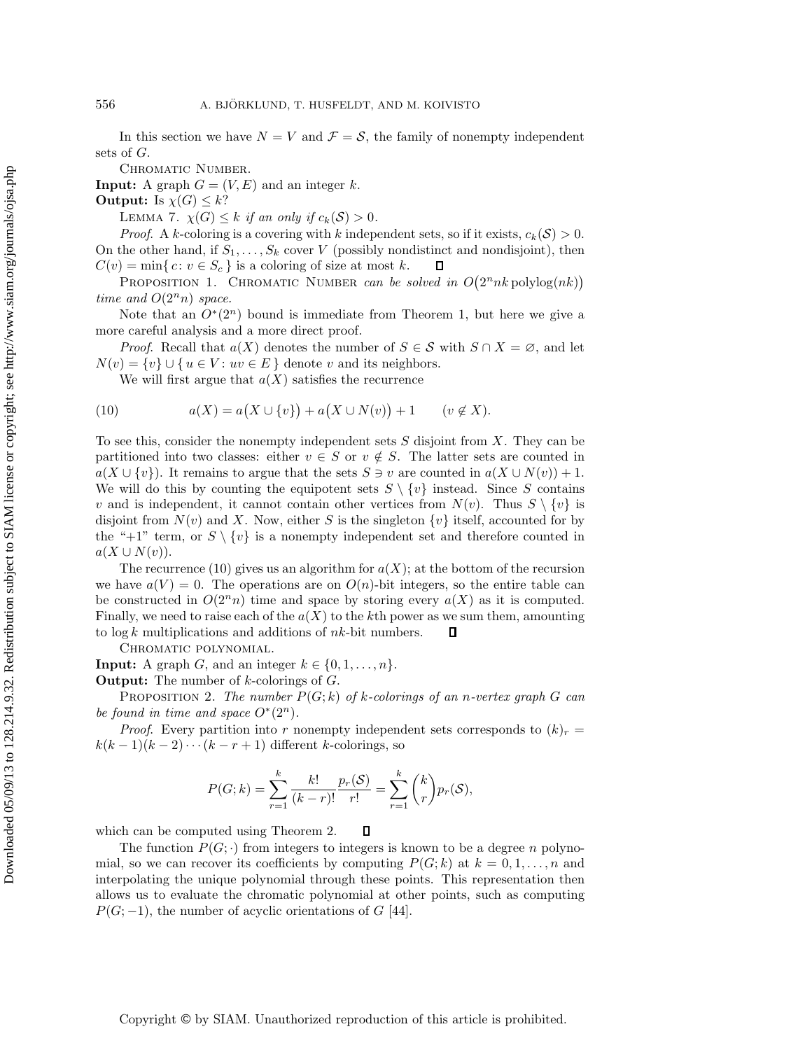In this section we have  $N = V$  and  $\mathcal{F} = \mathcal{S}$ , the family of nonempty independent sets of G.

CHROMATIC NUMBER.

**Input:** A graph  $G = (V, E)$  and an integer k.

**Output:** Is  $\chi(G) \leq k$ ?

LEMMA 7.  $\chi(G) \leq k$  *if an only if*  $c_k(\mathcal{S}) > 0$ *.* 

*Proof.* A k-coloring is a covering with k independent sets, so if it exists,  $c_k(\mathcal{S}) > 0$ . On the other hand, if  $S_1, \ldots, S_k$  cover V (possibly nondistinct and nondisjoint), then  $C(v) = \min\{c : v \in S_c\}$  is a coloring of size at most k.  $\Box$  $C(v) = \min\{c : v \in S_c\}$  is a coloring of size at most k.

PROPOSITION 1. CHROMATIC NUMBER *can be solved in*  $O(2^n n k \text{ polylog}(nk))$ *time and*  $O(2^n n)$  *space.* 

Note that an  $O<sup>*</sup>(2<sup>n</sup>)$  bound is immediate from Theorem 1, but here we give a more careful analysis and a more direct proof.

*Proof.* Recall that  $a(X)$  denotes the number of  $S \in \mathcal{S}$  with  $S \cap X = \emptyset$ , and let  $N(v) = \{v\} \cup \{u \in V : uv \in E\}$  denote v and its neighbors.

We will first argue that  $a(X)$  satisfies the recurrence

(10) 
$$
a(X) = a(X \cup \{v\}) + a(X \cup N(v)) + 1 \qquad (v \notin X).
$$

To see this, consider the nonempty independent sets  $S$  disjoint from  $X$ . They can be partitioned into two classes: either  $v \in S$  or  $v \notin S$ . The latter sets are counted in  $a(X \cup \{v\})$ . It remains to argue that the sets  $S \ni v$  are counted in  $a(X \cup N(v)) + 1$ . We will do this by counting the equipotent sets  $S \setminus \{v\}$  instead. Since S contains v and is independent, it cannot contain other vertices from  $N(v)$ . Thus  $S \setminus \{v\}$  is disjoint from  $N(v)$  and X. Now, either S is the singleton  $\{v\}$  itself, accounted for by the "+1" term, or  $S \setminus \{v\}$  is a nonempty independent set and therefore counted in  $a(X \cup N(v)).$ 

The recurrence (10) gives us an algorithm for  $a(X)$ ; at the bottom of the recursion we have  $a(V) = 0$ . The operations are on  $O(n)$ -bit integers, so the entire table can be constructed in  $O(2^n n)$  time and space by storing every  $a(X)$  as it is computed. Finally, we need to raise each of the  $a(X)$  to the kth power as we sum them, amounting to  $\log k$  multiplications and additions of  $nk$ -bit numbers.  $\Box$ 

Chromatic polynomial.

**Input:** A graph G, and an integer  $k \in \{0, 1, \ldots, n\}$ .

**Output:** The number of k-colorings of G.

Proposition 2. *The number* P(G; k) *of* k*-colorings of an* n*-vertex graph* G *can be found in time and space*  $O^*(2^n)$ *.* 

*Proof.* Every partition into r nonempty independent sets corresponds to  $(k)_r =$  $k(k-1)(k-2)\cdots(k-r+1)$  different k-colorings, so

$$
P(G;k) = \sum_{r=1}^{k} \frac{k!}{(k-r)!} \frac{p_r(\mathcal{S})}{r!} = \sum_{r=1}^{k} {k \choose r} p_r(\mathcal{S}),
$$

 $\Box$ 

which can be computed using Theorem 2.

The function  $P(G; \cdot)$  from integers to integers is known to be a degree n polynomial, so we can recover its coefficients by computing  $P(G; k)$  at  $k = 0, 1, \ldots, n$  and interpolating the unique polynomial through these points. This representation then allows us to evaluate the chromatic polynomial at other points, such as computing  $P(G; -1)$ , the number of acyclic orientations of G [44].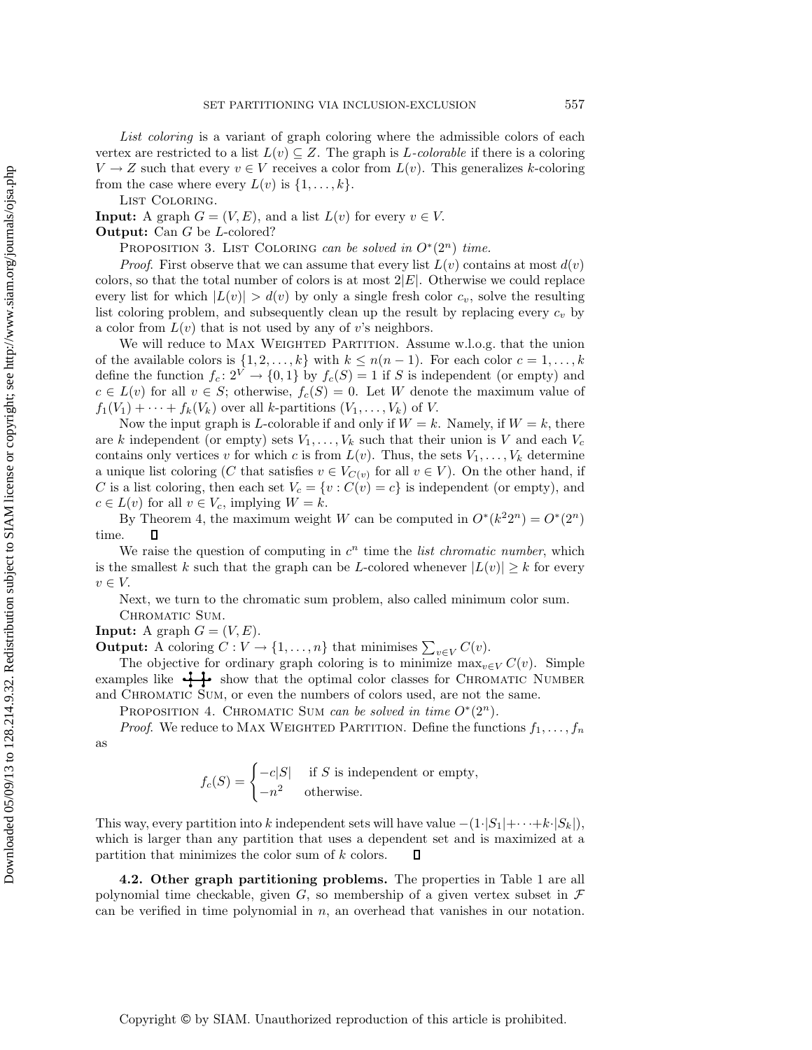*List coloring* is a variant of graph coloring where the admissible colors of each vertex are restricted to a list  $L(v) \subseteq Z$ . The graph is *L-colorable* if there is a coloring  $V \to Z$  such that every  $v \in V$  receives a color from  $L(v)$ . This generalizes k-coloring from the case where every  $L(v)$  is  $\{1,\ldots,k\}$ .

LIST COLORING.

**Input:** A graph  $G = (V, E)$ , and a list  $L(v)$  for every  $v \in V$ .

**Output:** Can G be L-colored?

PROPOSITION 3. LIST COLORING *can be solved in*  $O<sup>*</sup>(2<sup>n</sup>)$  *time.* 

*Proof.* First observe that we can assume that every list  $L(v)$  contains at most  $d(v)$ colors, so that the total number of colors is at most  $2|E|$ . Otherwise we could replace every list for which  $|L(v)| > d(v)$  by only a single fresh color  $c_v$ , solve the resulting list coloring problem, and subsequently clean up the result by replacing every  $c_v$  by a color from  $L(v)$  that is not used by any of v's neighbors.

We will reduce to MAX WEIGHTED PARTITION. Assume w.l.o.g. that the union of the available colors is  $\{1, 2, \ldots, k\}$  with  $k \leq n(n-1)$ . For each color  $c = 1, \ldots, k$ define the function  $f_c: 2^V \to \{0, 1\}$  by  $f_c(S) = 1$  if S is independent (or empty) and  $c \in L(v)$  for all  $v \in S$ ; otherwise,  $f_c(S) = 0$ . Let W denote the maximum value of  $f_1(V_1) + \cdots + f_k(V_k)$  over all k-partitions  $(V_1,\ldots,V_k)$  of V.

Now the input graph is L-colorable if and only if  $W = k$ . Namely, if  $W = k$ , there are k independent (or empty) sets  $V_1,\ldots,V_k$  such that their union is V and each  $V_c$ contains only vertices v for which c is from  $L(v)$ . Thus, the sets  $V_1, \ldots, V_k$  determine a unique list coloring (C that satisfies  $v \in V_{C(v)}$  for all  $v \in V$ ). On the other hand, if C is a list coloring, then each set  $V_c = \{v : C(v) = c\}$  is independent (or empty), and  $c \in L(v)$  for all  $v \in V_c$ , implying  $W = k$ .

By Theorem 4, the maximum weight W can be computed in  $O^*(k^2 2^n) = O^*(2^n)$ time. П

We raise the question of computing in  $c^n$  time the *list chromatic number*, which is the smallest k such that the graph can be L-colored whenever  $|L(v)| \geq k$  for every  $v\in V$ 

Next, we turn to the chromatic sum problem, also called minimum color sum. CHROMATIC SUM.

**Input:** A graph  $G = (V, E)$ .

**Output:** A coloring  $C: V \to \{1, \ldots, n\}$  that minimises  $\sum_{v \in V} C(v)$ .

The objective for ordinary graph coloring is to minimize  $\max_{v \in V} C(v)$ . Simple examples like  $\frac{1}{\epsilon}$  show that the optimal color classes for CHROMATIC NUMBER and CHROMATIC SUM, or even the numbers of colors used, are not the same.

PROPOSITION 4. CHROMATIC SUM *can be solved in time*  $O^*(2^n)$ *.* 

*Proof.* We reduce to MAX WEIGHTED PARTITION. Define the functions  $f_1, \ldots, f_n$ as

$$
f_c(S) = \begin{cases} -c|S| & \text{if } S \text{ is independent or empty,} \\ -n^2 & \text{otherwise.} \end{cases}
$$

This way, every partition into k independent sets will have value  $-(1·|S_1|+··+k·|S_k|)$ , which is larger than any partition that uses a dependent set and is maximized at a partition that minimizes the color sum of k colors. Л

**4.2. Other graph partitioning problems.** The properties in Table 1 are all polynomial time checkable, given  $G$ , so membership of a given vertex subset in  $\mathcal F$ can be verified in time polynomial in  $n$ , an overhead that vanishes in our notation.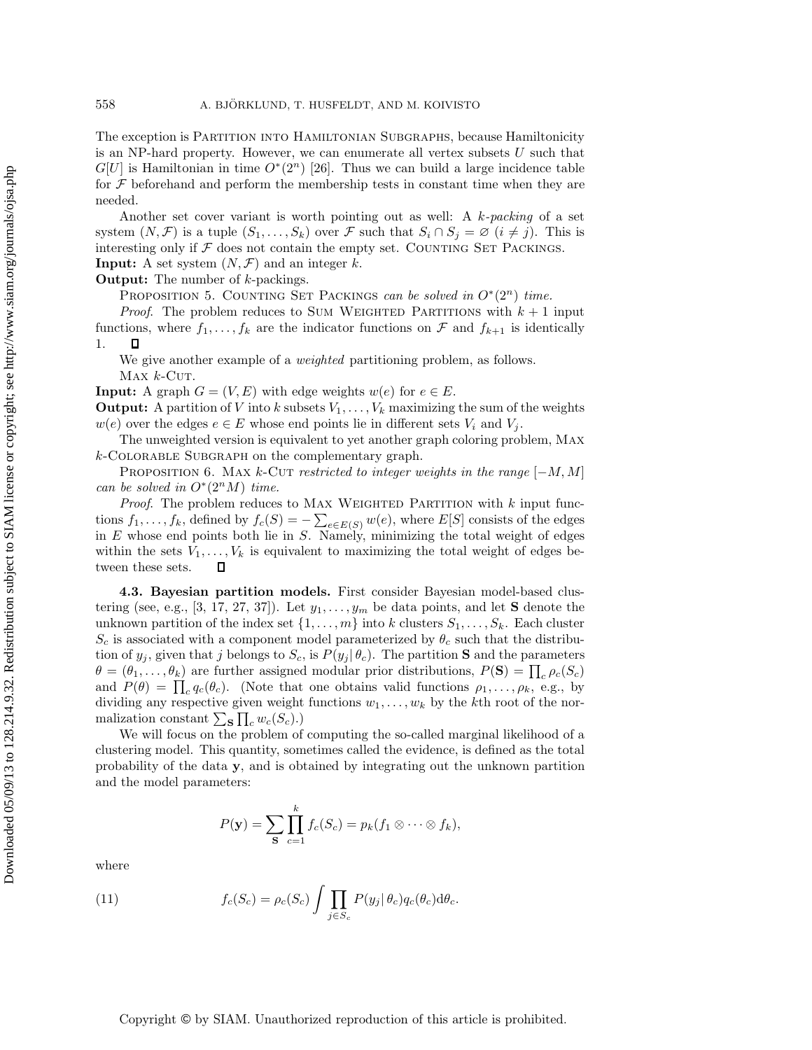The exception is Partition into Hamiltonian Subgraphs, because Hamiltonicity is an NP-hard property. However, we can enumerate all vertex subsets U such that  $G[U]$  is Hamiltonian in time  $O<sup>*</sup>(2<sup>n</sup>)$  [26]. Thus we can build a large incidence table for  $\mathcal F$  beforehand and perform the membership tests in constant time when they are needed.

Another set cover variant is worth pointing out as well: A k*-packing* of a set system  $(N, \mathcal{F})$  is a tuple  $(S_1, \ldots, S_k)$  over  $\mathcal F$  such that  $S_i \cap S_j = \emptyset$   $(i \neq j)$ . This is interesting only if  $\mathcal F$  does not contain the empty set. COUNTING SET PACKINGS.

**Input:** A set system  $(N, \mathcal{F})$  and an integer k.

**Output:** The number of k-packings.

PROPOSITION 5. COUNTING SET PACKINGS *can be solved in*  $O<sup>∗</sup>(2<sup>n</sup>)$  *time.* 

*Proof.* The problem reduces to SUM WEIGHTED PARTITIONS with  $k + 1$  input functions, where  $f_1, \ldots, f_k$  are the indicator functions on  $\mathcal F$  and  $f_{k+1}$  is identically 1. 1.

We give another example of a *weighted* partitioning problem, as follows.  $Max k-CUT.$ 

**Input:** A graph  $G = (V, E)$  with edge weights  $w(e)$  for  $e \in E$ .

**Output:** A partition of V into k subsets  $V_1, \ldots, V_k$  maximizing the sum of the weights  $w(e)$  over the edges  $e \in E$  whose end points lie in different sets  $V_i$  and  $V_j$ .

The unweighted version is equivalent to yet another graph coloring problem, Max  $k$ -COLORABLE SUBGRAPH on the complementary graph.

PROPOSITION 6. MAX k-CUT *restricted to integer weights in the range* [−M, M] *can be solved in*  $O^*(2^nM)$  *time.* 

*Proof.* The problem reduces to MAX WEIGHTED PARTITION with  $k$  input functions  $f_1, \ldots, f_k$ , defined by  $f_c(S) = -\sum_{e \in E(S)} w(e)$ , where  $E[S]$  consists of the edges<br>in E whose end points both lie in S. Namely, minimizing the total weight of edges in  $E$  whose end points both lie in  $S$ . Namely, minimizing the total weight of edges within the sets  $V_1, \ldots, V_k$  is equivalent to maximizing the total weight of edges be-<br>tween these sets.  $\Box$ tween these sets.

**4.3. Bayesian partition models.** First consider Bayesian model-based clustering (see, e.g.,  $[3, 17, 27, 37]$ ). Let  $y_1, \ldots, y_m$  be data points, and let **S** denote the unknown partition of the index set  $\{1,\ldots,m\}$  into k clusters  $S_1,\ldots,S_k$ . Each cluster  $S_c$  is associated with a component model parameterized by  $\theta_c$  such that the distribution of  $y_j$ , given that j belongs to  $S_c$ , is  $P(y_j | \theta_c)$ . The partition **S** and the parameters  $\theta = (\theta_1, \dots, \theta_k)$  are further assigned modular prior distributions,  $P(\mathbf{S}) = \prod_c \rho_c(S_c)$ and  $P(\theta) = \prod_c q_c(\theta_c)$ . (Note that one obtains valid functions  $\rho_1, \ldots, \rho_k$ , e.g., by dividing any proposition given wight functions  $w_c$ , by the little position function dividing any respective given weight functions  $w_1, \ldots, w_k$  by the kth root of the normalization constant  $\sum_{\mathbf{S}} \prod_{c} w_c(S_c)$ .)

We will focus on the problem of computing the so-called marginal likelihood of a clustering model. This quantity, sometimes called the evidence, is defined as the total probability of the data **y**, and is obtained by integrating out the unknown partition and the model parameters:

$$
P(\mathbf{y}) = \sum_{\mathbf{S}} \prod_{c=1}^{k} f_c(S_c) = p_k(f_1 \otimes \cdots \otimes f_k),
$$

where

(11) 
$$
f_c(S_c) = \rho_c(S_c) \int \prod_{j \in S_c} P(y_j | \theta_c) q_c(\theta_c) d\theta_c.
$$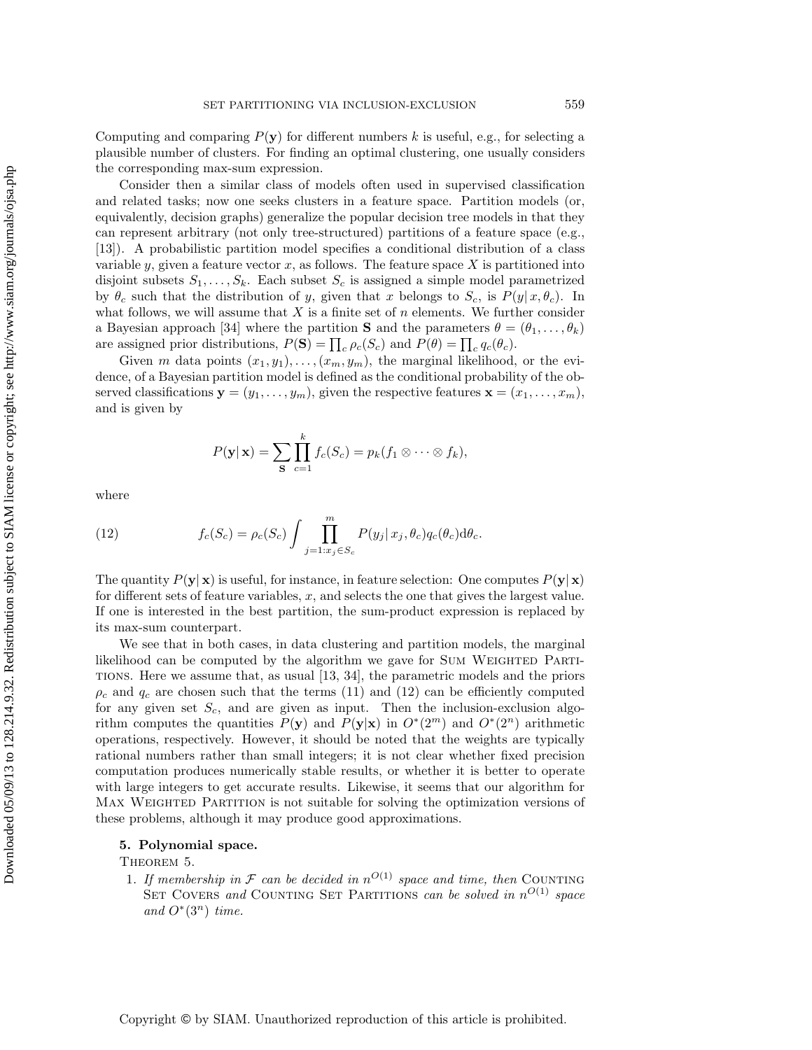Computing and comparing  $P(\mathbf{y})$  for different numbers k is useful, e.g., for selecting a plausible number of clusters. For finding an optimal clustering, one usually considers the corresponding max-sum expression.

Consider then a similar class of models often used in supervised classification and related tasks; now one seeks clusters in a feature space. Partition models (or, equivalently, decision graphs) generalize the popular decision tree models in that they can represent arbitrary (not only tree-structured) partitions of a feature space (e.g., [13]). A probabilistic partition model specifies a conditional distribution of a class variable y, given a feature vector x, as follows. The feature space X is partitioned into disjoint subsets  $S_1, \ldots, S_k$ . Each subset  $S_c$  is assigned a simple model parametrized by  $\theta_c$  such that the distribution of y, given that x belongs to  $S_c$ , is  $P(y|x, \theta_c)$ . In what follows, we will assume that  $X$  is a finite set of  $n$  elements. We further consider a Bayesian approach [34] where the partition **S** and the parameters  $\theta = (\theta_1, \dots, \theta_k)$ are assigned prior distributions,  $P(\mathbf{S}) = \prod_c \rho_c(S_c)$  and  $P(\theta) = \prod_c q_c(\theta_c)$ .

Given m data points  $(x_1, y_1), \ldots, (x_m, y_m)$ , the marginal likelihood, or the evidence, of a Bayesian partition model is defined as the conditional probability of the observed classifications  $\mathbf{y} = (y_1, \ldots, y_m)$ , given the respective features  $\mathbf{x} = (x_1, \ldots, x_m)$ , and is given by

$$
P(\mathbf{y}|\mathbf{x}) = \sum_{\mathbf{S}} \prod_{c=1}^k f_c(S_c) = p_k(f_1 \otimes \cdots \otimes f_k),
$$

where

(12) 
$$
f_c(S_c) = \rho_c(S_c) \int \prod_{j=1:x_j \in S_c}^{m} P(y_j | x_j, \theta_c) q_c(\theta_c) d\theta_c.
$$

The quantity  $P(\mathbf{y}|\mathbf{x})$  is useful, for instance, in feature selection: One computes  $P(\mathbf{y}|\mathbf{x})$ for different sets of feature variables,  $x$ , and selects the one that gives the largest value. If one is interested in the best partition, the sum-product expression is replaced by its max-sum counterpart.

We see that in both cases, in data clustering and partition models, the marginal likelihood can be computed by the algorithm we gave for SUM WEIGHTED PARTItions. Here we assume that, as usual [13, 34], the parametric models and the priors  $\rho_c$  and  $q_c$  are chosen such that the terms (11) and (12) can be efficiently computed for any given set  $S_c$ , and are given as input. Then the inclusion-exclusion algorithm computes the quantities  $P(\mathbf{y})$  and  $P(\mathbf{y}|\mathbf{x})$  in  $O^*(2^m)$  and  $O^*(2^n)$  arithmetic operations, respectively. However, it should be noted that the weights are typically rational numbers rather than small integers; it is not clear whether fixed precision computation produces numerically stable results, or whether it is better to operate with large integers to get accurate results. Likewise, it seems that our algorithm for MAX WEIGHTED PARTITION is not suitable for solving the optimization versions of these problems, although it may produce good approximations.

### **5. Polynomial space.**

THEOREM 5.

1. If membership in  $\mathcal F$  *can be decided in*  $n^{O(1)}$  *space and time, then* COUNTING SET COVERS *and* COUNTING SET PARTITIONS *can be solved in*  $n^{O(1)}$  *space and*  $O^*(3^n)$  *time.*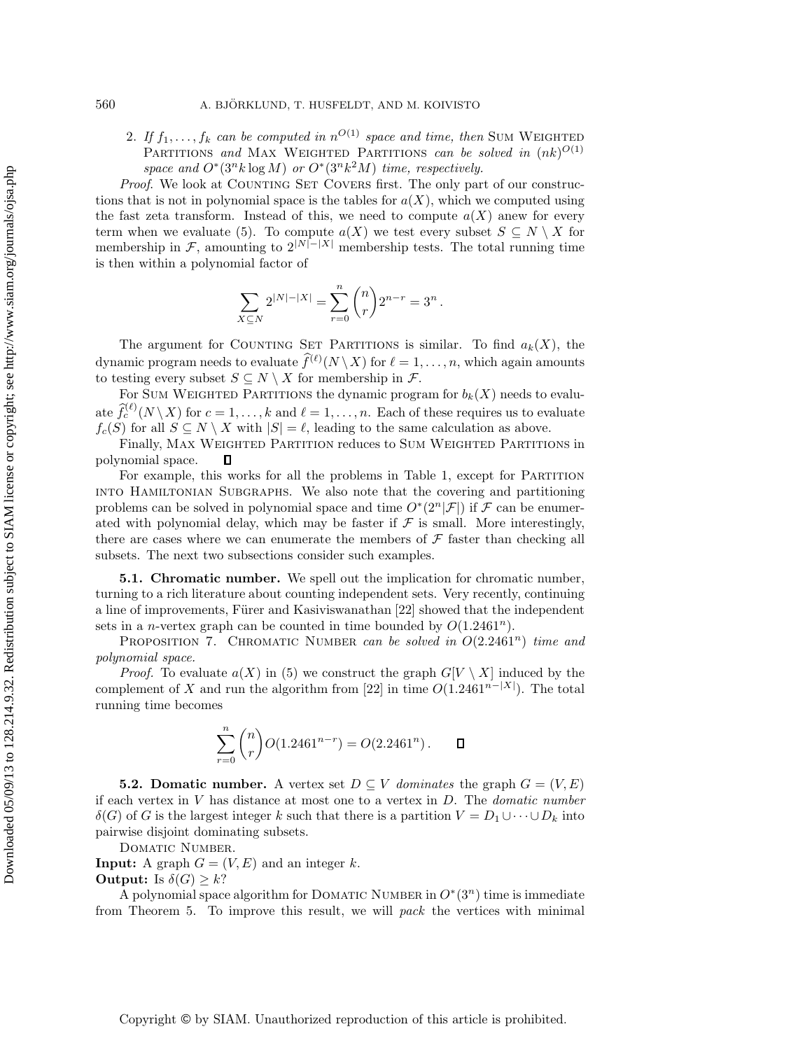2. If  $f_1, \ldots, f_k$  can be computed in  $n^{O(1)}$  space and time, then SUM WEIGHTED PARTITIONS and MAX WEIGHTED PARTITIONS *can be solved in*  $(nk)^{O(1)}$ *space and*  $O^*(3^n k \log M)$  *or*  $O^*(3^n k^2 M)$  *time, respectively.* 

*Proof.* We look at COUNTING SET COVERS first. The only part of our constructions that is not in polynomial space is the tables for  $a(X)$ , which we computed using the fast zeta transform. Instead of this, we need to compute  $a(X)$  anew for every term when we evaluate (5). To compute  $a(X)$  we test every subset  $S \subseteq N \setminus X$  for membership in F, amounting to  $2^{|N|-|X|}$  membership tests. The total running time is then within a polynomial factor of

$$
\sum_{X \subseteq N} 2^{|N| - |X|} = \sum_{r=0}^{n} {n \choose r} 2^{n-r} = 3^{n}.
$$

The argument for COUNTING SET PARTITIONS is similar. To find  $a_k(X)$ , the dynamic program needs to evaluate  $\hat{f}^{(\ell)}(N \setminus X)$  for  $\ell = 1, \ldots, n$ , which again amounts to testing every subset  $S \subseteq N \setminus X$  for membership in  $\mathcal{F}$ .

For SUM WEIGHTED PARTITIONS the dynamic program for  $b_k(X)$  needs to evaluate  $\hat{f}_c^{(\ell)}(N \setminus X)$  for  $c = 1, \ldots, k$  and  $\ell = 1, \ldots, n$ . Each of these requires us to evaluate  $f_c(S)$  for all  $S \subseteq N \setminus X$  with  $|S| = \ell$ , leading to the same calculation as above.

Finally, Max Weighted Partition reduces to Sum Weighted Partitions in polynomial space.  $\Box$ 

For example, this works for all the problems in Table 1, except for Partition into Hamiltonian Subgraphs. We also note that the covering and partitioning problems can be solved in polynomial space and time  $O*(2^n|\mathcal{F}|)$  if  $\mathcal F$  can be enumerated with polynomial delay, which may be faster if  $\mathcal F$  is small. More interestingly, there are cases where we can enumerate the members of  $\mathcal F$  faster than checking all subsets. The next two subsections consider such examples.

**5.1. Chromatic number.** We spell out the implication for chromatic number, turning to a rich literature about counting independent sets. Very recently, continuing a line of improvements, Fürer and Kasiviswanathan [22] showed that the independent sets in a *n*-vertex graph can be counted in time bounded by  $O(1.2461^n)$ .

Proposition 7. Chromatic Number *can be solved in* O(2.2461<sup>n</sup>) *time and polynomial space.*

*Proof.* To evaluate  $a(X)$  in (5) we construct the graph  $G[V \setminus X]$  induced by the complement of X and run the algorithm from [22] in time  $O(1.2461^{n-|X|})$ . The total running time becomes

$$
\sum_{r=0}^{n} {n \choose r} O(1.2461^{n-r}) = O(2.2461^{n}). \qquad \Box
$$

**5.2. Domatic number.** A vertex set  $D \subseteq V$  *dominates* the graph  $G = (V, E)$ if each vertex in V has distance at most one to a vertex in D. The *domatic number*  $\delta(G)$  of G is the largest integer k such that there is a partition  $V = D_1 \cup \cdots \cup D_k$  into pairwise disjoint dominating subsets.

DOMATIC NUMBER.

**Input:** A graph  $G = (V, E)$  and an integer k. **Output:** Is  $\delta(G) \geq k$ ?

A polynomial space algorithm for DOMATIC NUMBER in  $O<sup>*</sup>(3<sup>n</sup>)$  time is immediate from Theorem 5. To improve this result, we will *pack* the vertices with minimal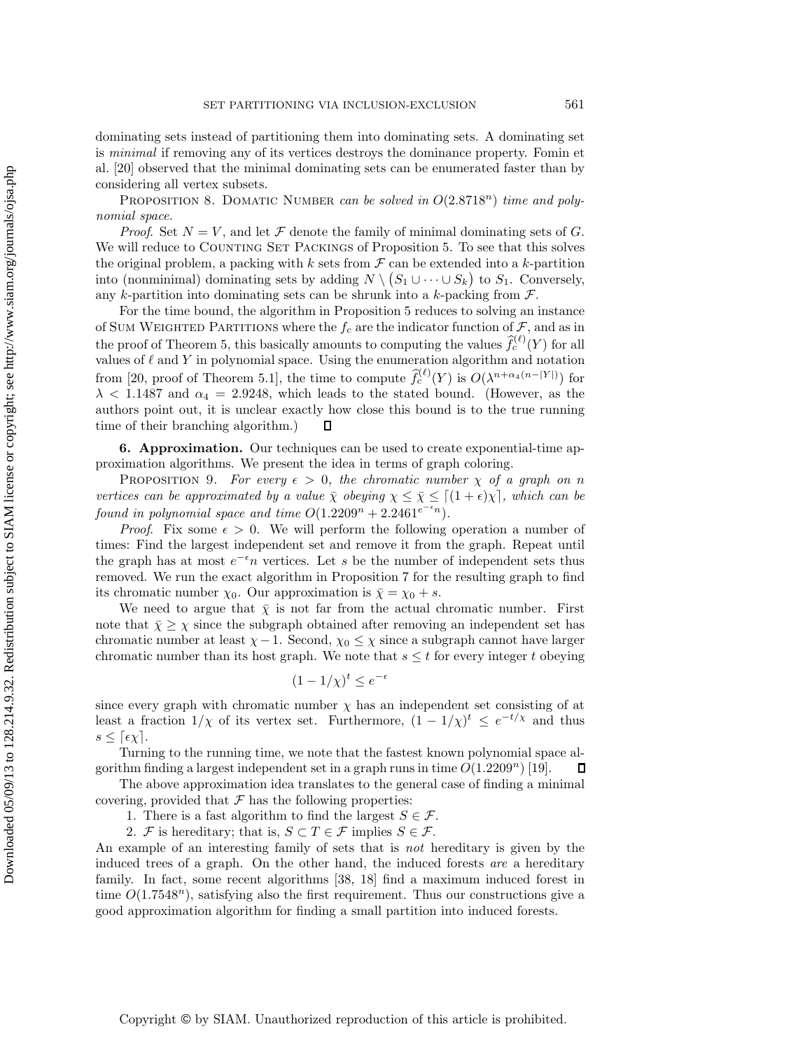dominating sets instead of partitioning them into dominating sets. A dominating set is *minimal* if removing any of its vertices destroys the dominance property. Fomin et al. [20] observed that the minimal dominating sets can be enumerated faster than by considering all vertex subsets.

PROPOSITION 8. DOMATIC NUMBER *can be solved in*  $O(2.8718<sup>n</sup>)$  *time and polynomial space.*

*Proof.* Set  $N = V$ , and let  $\mathcal F$  denote the family of minimal dominating sets of G. We will reduce to COUNTING SET PACKINGS of Proposition 5. To see that this solves the original problem, a packing with k sets from  $\mathcal F$  can be extended into a k-partition into (nonminimal) dominating sets by adding  $N \setminus (S_1 \cup \cdots \cup S_k)$  to  $S_1$ . Conversely, any k-partition into dominating sets can be shrunk into a k-packing from  $\mathcal{F}$ .

For the time bound, the algorithm in Proposition 5 reduces to solving an instance of SUM WEIGHTED PARTITIONS where the  $f_c$  are the indicator function of  $\mathcal{F}$ , and as in the proof of Theorem 5, this basically amounts to computing the values  $\hat{f}_c^{(\ell)}(Y)$  for all values of  $\ell$  and Y in polynomial space. Using the enumeration algorithm and notation from [20, proof of Theorem 5.1], the time to compute  $\hat{f}_c^{(\ell)}(Y)$  is  $O(\lambda^{n+\alpha_4(n-|Y|)})$  for  $\lambda$  < 1.1487 and  $\alpha_4$  = 2.9248, which leads to the stated bound. (However, as the authors point out, it is unclear exactly how close this bound is to the true running time of their branching algorithm.) Д

**6. Approximation.** Our techniques can be used to create exponential-time approximation algorithms. We present the idea in terms of graph coloring.

PROPOSITION 9. *For every*  $\epsilon > 0$ , the chromatic number  $\chi$  of a graph on n *vertices can be approximated by a value*  $\bar{\chi}$  *obeying*  $\chi \leq \bar{\chi} \leq [(1+\epsilon)\chi]$ *, which can be found in polynomial space and time*  $O(1.2209^n + 2.2461^{e^{-\epsilon_n}})$ .

*Proof.* Fix some  $\epsilon > 0$ . We will perform the following operation a number of times: Find the largest independent set and remove it from the graph. Repeat until the graph has at most  $e^{-\epsilon}n$  vertices. Let s be the number of independent sets thus removed. We run the exact algorithm in Proposition 7 for the resulting graph to find its chromatic number  $\chi_0$ . Our approximation is  $\bar{\chi} = \chi_0 + s$ .

We need to argue that  $\bar{\chi}$  is not far from the actual chromatic number. First note that  $\bar{\chi} \geq \chi$  since the subgraph obtained after removing an independent set has chromatic number at least  $\chi - 1$ . Second,  $\chi_0 \leq \chi$  since a subgraph cannot have larger chromatic number than its host graph. We note that  $s \leq t$  for every integer t obeying

$$
(1 - 1/\chi)^t \le e^{-\epsilon}
$$

since every graph with chromatic number  $\chi$  has an independent set consisting of at least a fraction  $1/\chi$  of its vertex set. Furthermore,  $(1 - 1/\chi)^t \leq e^{-t/\chi}$  and thus  $s \leq \lceil \epsilon \chi \rceil$ .

Turning to the running time, we note that the fastest known polynomial space algorithm finding a largest independent set in a graph runs in time  $O(1.2209<sup>n</sup>)$  [19]. П

The above approximation idea translates to the general case of finding a minimal covering, provided that  $\mathcal F$  has the following properties:

1. There is a fast algorithm to find the largest  $S \in \mathcal{F}$ .

2. F is hereditary; that is,  $S \subset T \in \mathcal{F}$  implies  $S \in \mathcal{F}$ .

An example of an interesting family of sets that is *not* hereditary is given by the induced trees of a graph. On the other hand, the induced forests *are* a hereditary family. In fact, some recent algorithms [38, 18] find a maximum induced forest in time  $O(1.7548^n)$ , satisfying also the first requirement. Thus our constructions give a good approximation algorithm for finding a small partition into induced forests.

Downloaded 05/09/13 to 128.214.9.32. Redistribution subject to SIAM license or copyright; see http://www.siam.org/journals/ojsa.php Downloaded 05/09/13 to 128.214.9.32. Redistribution subject to SIAM license or copyright; see http://www.siam.org/journals/ojsa.php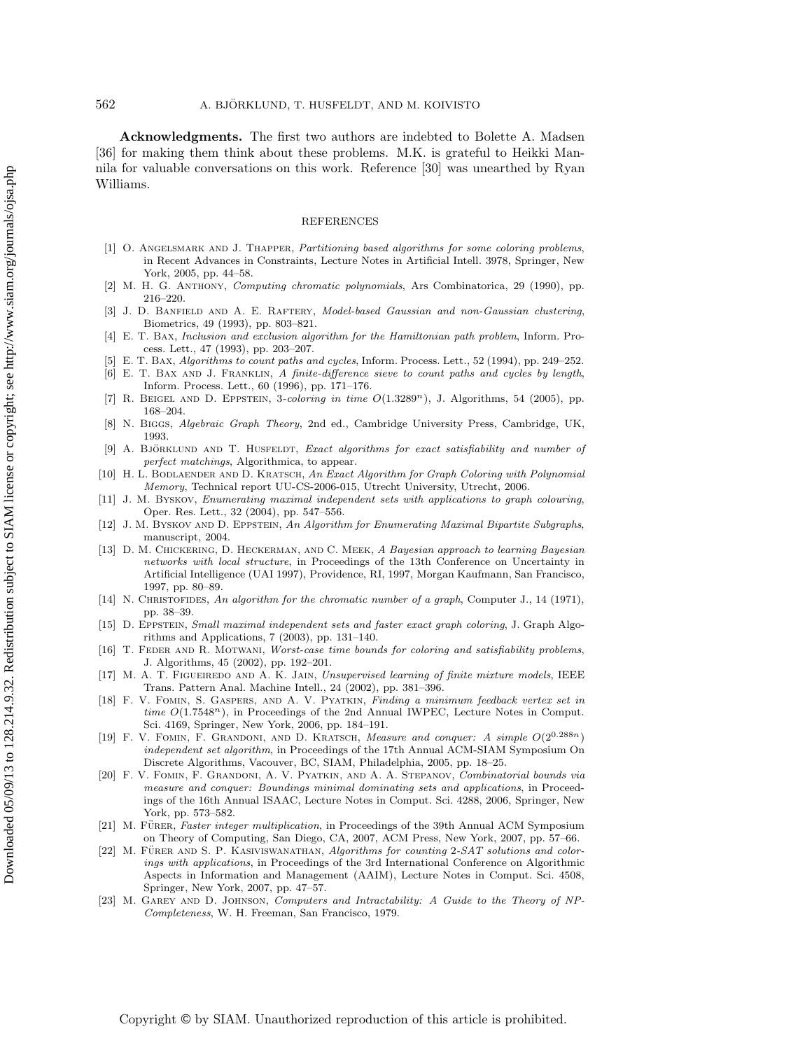**Acknowledgments.** The first two authors are indebted to Bolette A. Madsen [36] for making them think about these problems. M.K. is grateful to Heikki Mannila for valuable conversations on this work. Reference [30] was unearthed by Ryan Williams.

### REFERENCES

- [1] O. ANGELSMARK AND J. THAPPER, Partitioning based algorithms for some coloring problems, in Recent Advances in Constraints, Lecture Notes in Artificial Intell. 3978, Springer, New York, 2005, pp. 44–58.
- [2] M. H. G. Anthony, Computing chromatic polynomials, Ars Combinatorica, 29 (1990), pp. 216–220.
- J. D. BANFIELD AND A. E. RAFTERY, Model-based Gaussian and non-Gaussian clustering, Biometrics, 49 (1993), pp. 803–821.
- [4] E. T. Bax, Inclusion and exclusion algorithm for the Hamiltonian path problem, Inform. Process. Lett., 47 (1993), pp. 203–207.
- [5] E. T. Bax, Algorithms to count paths and cycles, Inform. Process. Lett., 52 (1994), pp. 249–252.
- [6] E. T. Bax and J. Franklin, A finite-difference sieve to count paths and cycles by length, Inform. Process. Lett., 60 (1996), pp. 171–176.
- [7] R. Beigel and D. Eppstein, 3-coloring in time O(1.3289*n*), J. Algorithms, 54 (2005), pp. 168–204.
- [8] N. Biggs, Algebraic Graph Theory, 2nd ed., Cambridge University Press, Cambridge, UK, 1993.
- [9] A. BJÖRKLUND AND T. HUSFELDT, Exact algorithms for exact satisfiability and number of perfect matchings, Algorithmica, to appear.
- [10] H. L. BODLAENDER AND D. KRATSCH, An Exact Algorithm for Graph Coloring with Polynomial Memory, Technical report UU-CS-2006-015, Utrecht University, Utrecht, 2006.
- [11] J. M. Byskov, Enumerating maximal independent sets with applications to graph colouring, Oper. Res. Lett., 32 (2004), pp. 547–556.
- [12] J. M. BYSKOV AND D. EPPSTEIN, An Algorithm for Enumerating Maximal Bipartite Subgraphs, manuscript, 2004.
- [13] D. M. Chickering, D. Heckerman, and C. Meek, A Bayesian approach to learning Bayesian networks with local structure, in Proceedings of the 13th Conference on Uncertainty in Artificial Intelligence (UAI 1997), Providence, RI, 1997, Morgan Kaufmann, San Francisco, 1997, pp. 80–89.
- [14] N. CHRISTOFIDES, An algorithm for the chromatic number of a graph, Computer J., 14 (1971), pp. 38–39.
- [15] D. Eppstein, Small maximal independent sets and faster exact graph coloring, J. Graph Algorithms and Applications, 7 (2003), pp. 131–140.
- [16] T. FEDER AND R. MOTWANI, Worst-case time bounds for coloring and satisfiability problems, J. Algorithms, 45 (2002), pp. 192–201.
- [17] M. A. T. FIGUEIREDO AND A. K. JAIN, Unsupervised learning of finite mixture models, IEEE Trans. Pattern Anal. Machine Intell., 24 (2002), pp. 381–396.
- [18] F. V. Fomin, S. Gaspers, and A. V. Pyatkin, Finding a minimum feedback vertex set in time  $O(1.7548^n)$ , in Proceedings of the 2nd Annual IWPEC, Lecture Notes in Comput. Sci. 4169, Springer, New York, 2006, pp. 184–191.
- [19] F. V. Fomin, F. Grandoni, and D. Kratsch, Measure and conquer: A simple O(20*.*288*n*) independent set algorithm, in Proceedings of the 17th Annual ACM-SIAM Symposium On Discrete Algorithms, Vacouver, BC, SIAM, Philadelphia, 2005, pp. 18–25.
- [20] F. V. Fomin, F. Grandoni, A. V. Pyatkin, and A. A. Stepanov, Combinatorial bounds via measure and conquer: Boundings minimal dominating sets and applications, in Proceedings of the 16th Annual ISAAC, Lecture Notes in Comput. Sci. 4288, 2006, Springer, New York, pp. 573–582.
- [21] M. FÜRER, Faster integer multiplication, in Proceedings of the 39th Annual ACM Symposium on Theory of Computing, San Diego, CA, 2007, ACM Press, New York, 2007, pp. 57–66.
- $[22]$  M. FÜRER AND S. P. KASIVISWANATHAN, Algorithms for counting 2-SAT solutions and colorings with applications, in Proceedings of the 3rd International Conference on Algorithmic Aspects in Information and Management (AAIM), Lecture Notes in Comput. Sci. 4508, Springer, New York, 2007, pp. 47–57.
- [23] M. GAREY AND D. JOHNSON, Computers and Intractability: A Guide to the Theory of NP-Completeness, W. H. Freeman, San Francisco, 1979.